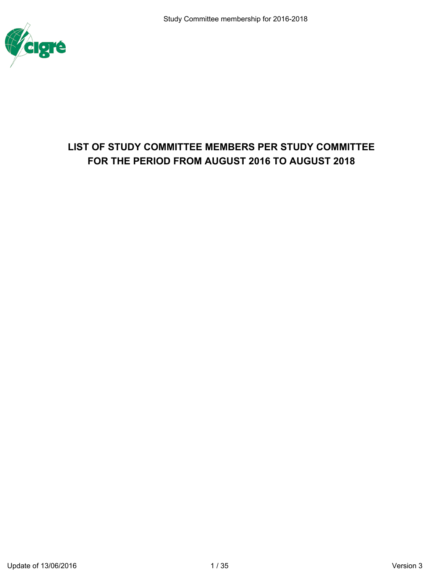

# **LIST OF STUDY COMMITTEE MEMBERS PER STUDY COMMITTEE FOR THE PERIOD FROM AUGUST 2016 TO AUGUST 2018**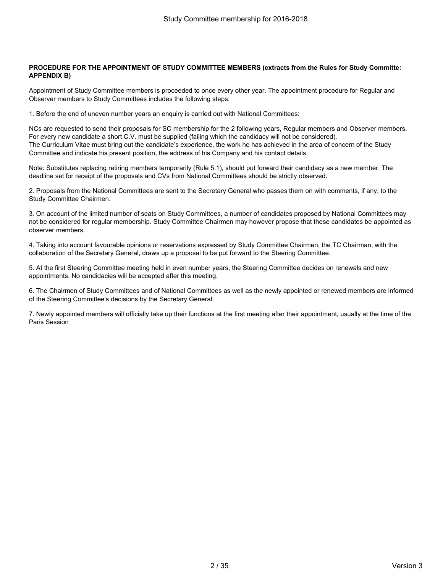### **PROCEDURE FOR THE APPOINTMENT OF STUDY COMMITTEE MEMBERS (extracts from the Rules for Study Committe: APPENDIX B)**

Appointment of Study Committee members is proceeded to once every other year. The appointment procedure for Regular and **Observer members to Study Committees includes the following steps:**

**1. Before the end of uneven number years an enquiry is carried out with National Committees:**

NCs are requested to send their proposals for SC membership for the 2 following years, Regular members and Observer members. For every new candidate a short C.V. must be supplied (failing which the candidacy will not be considered). The Curriculum Vitae must bring out the candidate's experience, the work he has achieved in the area of concern of the Study **Committee and indicate his present position, the address of his Company and his contact details.**

Note: Substitutes replacing retiring members temporarily (Rule 5.1), should put forward their candidacy as a new member. The **deadline set for receipt of the proposals and CVs from National Committees should be strictly observed.**

2. Proposals from the National Committees are sent to the Secretary General who passes them on with comments, if any, to the **Study Committee Chairmen.**

3. On account of the limited number of seats on Study Committees, a number of candidates proposed by National Committees may not be considered for regular membership. Study Committee Chairmen may however propose that these candidates be appointed as **observer members.**

4. Taking into account favourable opinions or reservations expressed by Study Committee Chairmen, the TC Chairman, with the **collaboration of the Secretary General, draws up a proposal to be put forward to the Steering Committee.**

5. At the first Steering Committee meeting held in even number years, the Steering Committee decides on renewals and new **appointments. No candidacies will be accepted after this meeting.**

6. The Chairmen of Study Committees and of National Committees as well as the newly appointed or renewed members are informed **of the Steering Committee's decisions by the Secretary General.**

7. Newly appointed members will officially take up their functions at the first meeting after their appointment, usually at the time of the **Paris Session**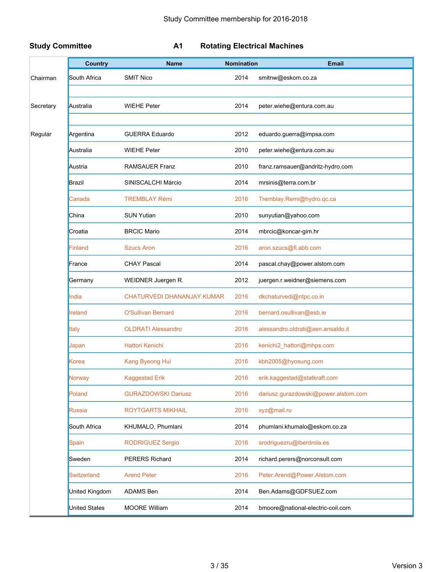### **Study Committee A1 Rotating Electrical Machines**

|           | <b>Country</b>       | <b>Name</b>                | <b>Nomination</b> | <b>Email</b>                         |
|-----------|----------------------|----------------------------|-------------------|--------------------------------------|
| Chairman  | South Africa         | <b>SMIT Nico</b>           | 2014              | smitnw@eskom.co.za                   |
| Secretary | Australia            | <b>WIEHE Peter</b>         | 2014              | peter.wiehe@entura.com.au            |
|           |                      |                            |                   |                                      |
| Regular   | Argentina            | <b>GUERRA Eduardo</b>      | 2012              | eduardo.guerra@impsa.com             |
|           | Australia            | <b>WIEHE Peter</b>         | 2010              | peter.wiehe@entura.com.au            |
|           | Austria              | <b>RAMSAUER Franz</b>      | 2010              | franz.ramsauer@andritz-hydro.com     |
|           | <b>Brazil</b>        | SINISCALCHI Márcio         | 2014              | mrsinis@terra.com.br                 |
|           | Canada               | <b>TREMBLAY Rémi</b>       | 2016              | Tremblay.Remi@hydro.qc.ca            |
|           | China                | <b>SUN Yutian</b>          | 2010              | sunyutian@yahoo.com                  |
|           | Croatia              | <b>BRCIC Mario</b>         | 2014              | mbrcic@koncar-gim.hr                 |
|           | Finland              | <b>Szucs Aron</b>          | 2016              | aron.szucs@fi.abb.com                |
|           | France               | <b>CHAY Pascal</b>         | 2014              | pascal.chay@power.alstom.com         |
|           | Germany              | WEIDNER Juergen R.         | 2012              | juergen.r.weidner@siemens.com        |
|           | India                | CHATURVEDI DHANANJAY KUMAR | 2016              | dkchaturvedi@ntpc.co.in              |
|           | <b>Ireland</b>       | <b>O'Sullivan Bernard</b>  | 2016              | bernard.osullivan@esb.ie             |
|           | Italy                | <b>OLDRATI Alessandro</b>  | 2016              | alessandro.oldrati@aen.ansaldo.it    |
|           | Japan                | <b>Hattori Kenichi</b>     | 2016              | kenichi2_hattori@mhps.com            |
|           | Korea                | Kang Byeong Hui            | 2016              | kbh2005@hyosung.com                  |
|           | Norway               | <b>Kaggestad Erik</b>      | 2016              | erik.kaggestad@statkraft.com         |
|           | Poland               | <b>GURAZDOWSKI Dariusz</b> | 2016              | dariusz.gurazdowski@power.alstom.com |
|           | Russia               | <b>ROYTGARTS MIKHAIL</b>   | 2016              | xyz@mail.ru                          |
|           | South Africa         | KHUMALO, Phumlani          | 2014              | phumlani.khumalo@eskom.co.za         |
|           | <b>Spain</b>         | <b>RODRIGUEZ Sergio</b>    | 2016              | srodriguezru@iberdrola.es            |
|           | Sweden               | PERERS Richard             | 2014              | richard.perers@norconsult.com        |
|           | <b>Switzerland</b>   | <b>Arend Peter</b>         | 2016              | Peter.Arend@Power.Alstom.com         |
|           | United Kingdom       | ADAMS Ben                  | 2014              | Ben.Adams@GDFSUEZ.com                |
|           | <b>United States</b> | <b>MOORE William</b>       | 2014              | bmoore@national-electric-coil.com    |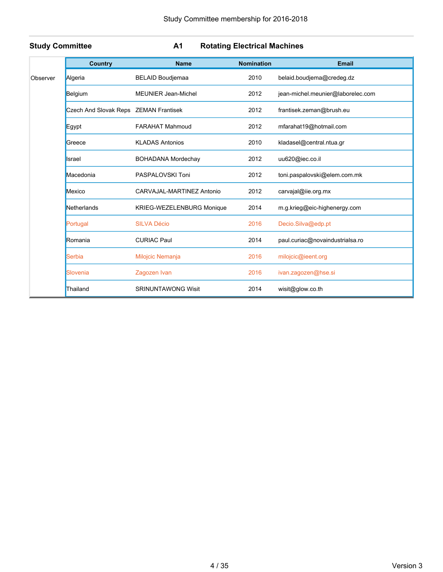|          | <b>Country</b>                        | <b>Name</b>                      | <b>Nomination</b> | <b>Email</b>                      |
|----------|---------------------------------------|----------------------------------|-------------------|-----------------------------------|
| Observer | Algeria                               | <b>BELAID Boudjemaa</b>          | 2010              | belaid.boudjema@credeg.dz         |
|          | Belgium                               | <b>MEUNIER Jean-Michel</b>       | 2012              | jean-michel.meunier@laborelec.com |
|          | Czech And Slovak Reps ZEMAN Frantisek |                                  | 2012              | frantisek.zeman@brush.eu          |
|          | Egypt                                 | <b>FARAHAT Mahmoud</b>           | 2012              | mfarahat19@hotmail.com            |
|          | Greece                                | <b>KLADAS Antonios</b>           | 2010              | kladasel@central.ntua.gr          |
|          | Israel                                | <b>BOHADANA Mordechay</b>        | 2012              | uu620@iec.co.il                   |
|          | Macedonia                             | PASPALOVSKI Toni                 | 2012              | toni.paspalovski@elem.com.mk      |
|          | Mexico                                | CARVAJAL-MARTINEZ Antonio        | 2012              | carvajal@iie.org.mx               |
|          | Netherlands                           | <b>KRIEG-WEZELENBURG Monique</b> | 2014              | m.g.krieg@eic-highenergy.com      |
|          | Portugal                              | <b>SILVA Décio</b>               | 2016              | Decio.Silva@edp.pt                |
|          | Romania                               | <b>CURIAC Paul</b>               | 2014              | paul.curiac@novaindustrialsa.ro   |
|          | Serbia                                | Milojcic Nemanja                 | 2016              | milojcic@ieent.org                |
|          | Slovenia                              | Zagozen Ivan                     | 2016              | ivan.zagozen@hse.si               |
|          | Thailand                              | <b>SRINUNTAWONG Wisit</b>        | 2014              | wisit@glow.co.th                  |

### **Study Committee A1 Rotating Electrical Machines**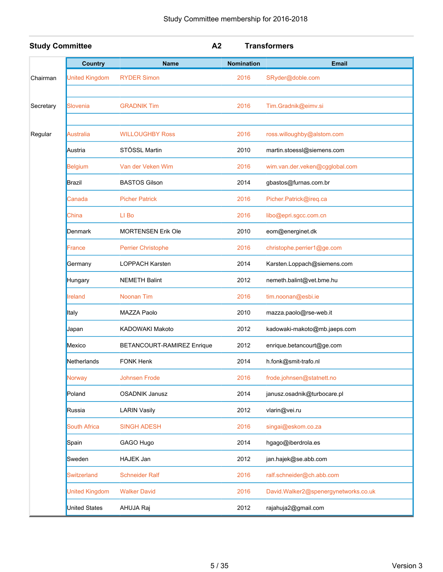| <b>Study Committee</b> |                       | A <sub>2</sub>             |                   | <b>Transformers</b>                  |
|------------------------|-----------------------|----------------------------|-------------------|--------------------------------------|
|                        | <b>Country</b>        | <b>Name</b>                | <b>Nomination</b> | <b>Email</b>                         |
| Chairman               | <b>United Kingdom</b> | <b>RYDER Simon</b>         | 2016              | SRyder@doble.com                     |
| Secretary              | Slovenia              | <b>GRADNIK Tim</b>         | 2016              | Tim.Gradnik@eimv.si                  |
| Regular                | Australia             | <b>WILLOUGHBY Ross</b>     | 2016              | ross.willoughby@alstom.com           |
|                        | Austria               | STÖSSL Martin              | 2010              | martin.stoessl@siemens.com           |
|                        | Belgium               | Van der Veken Wim          | 2016              | wim.van.der.veken@cgglobal.com       |
|                        | <b>Brazil</b>         | <b>BASTOS Gilson</b>       | 2014              | gbastos@furnas.com.br                |
|                        | Canada                | <b>Picher Patrick</b>      | 2016              | Picher.Patrick@ireq.ca               |
|                        | China                 | LI Bo                      | 2016              | libo@epri.sgcc.com.cn                |
|                        | <b>Denmark</b>        | <b>MORTENSEN Erik Ole</b>  | 2010              | eom@energinet.dk                     |
|                        | France                | Perrier Christophe         | 2016              | christophe.perrier1@ge.com           |
|                        | Germany               | <b>LOPPACH Karsten</b>     | 2014              | Karsten.Loppach@siemens.com          |
|                        | Hungary               | <b>NEMETH Balint</b>       | 2012              | nemeth.balint@vet.bme.hu             |
|                        | Ireland               | Noonan Tim                 | 2016              | tim.noonan@esbi.ie                   |
|                        | <b>Italy</b>          | MAZZA Paolo                | 2010              | mazza.paolo@rse-web.it               |
|                        | Japan                 | KADOWAKI Makoto            | 2012              | kadowaki-makoto@mb.jaeps.com         |
|                        | Mexico                | BETANCOURT-RAMIREZ Enrique | 2012              | enrique.betancourt@ge.com            |
|                        | Netherlands           | <b>FONK Henk</b>           | 2014              | h.fonk@smit-trafo.nl                 |
|                        | Norway                | Johnsen Frode              | 2016              | frode.johnsen@statnett.no            |
|                        | Poland                | <b>OSADNIK Janusz</b>      | 2014              | janusz.osadnik@turbocare.pl          |
|                        | Russia                | <b>LARIN Vasily</b>        | 2012              | vlarin@vei.ru                        |
|                        | <b>South Africa</b>   | <b>SINGH ADESH</b>         | 2016              | singai@eskom.co.za                   |
|                        | Spain                 | GAGO Hugo                  | 2014              | hgago@iberdrola.es                   |
|                        | Sweden                | HAJEK Jan                  | 2012              | jan.hajek@se.abb.com                 |
|                        | <b>Switzerland</b>    | <b>Schneider Ralf</b>      | 2016              | ralf.schneider@ch.abb.com            |
|                        | <b>United Kingdom</b> | <b>Walker David</b>        | 2016              | David.Walker2@spenergynetworks.co.uk |
|                        | <b>United States</b>  | AHUJA Raj                  | 2012              | rajahuja2@gmail.com                  |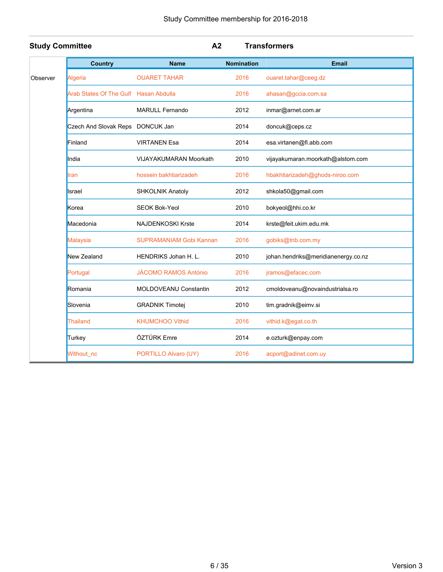| <b>Study Committee</b> |                                       | A <sub>2</sub>                 |                   | <b>Transformers</b>                 |
|------------------------|---------------------------------------|--------------------------------|-------------------|-------------------------------------|
|                        | <b>Country</b>                        | <b>Name</b>                    | <b>Nomination</b> | <b>Email</b>                        |
| Observer               | Algeria                               | <b>OUARET TAHAR</b>            | 2016              | ouaret.tahar@ceeg.dz                |
|                        | Arab States Of The Gulf Hasan Abdulla |                                | 2016              | ahasan@gccia.com.sa                 |
|                        | Argentina                             | <b>MARULL Fernando</b>         | 2012              | inmar@arnet.com.ar                  |
|                        | Czech And Slovak Reps DONCUK Jan      |                                | 2014              | doncuk@ceps.cz                      |
|                        | Finland                               | <b>VIRTANEN Esa</b>            | 2014              | esa.virtanen@fi.abb.com             |
|                        | India                                 | <b>VIJAYAKUMARAN Moorkath</b>  | 2010              | vijayakumaran.moorkath@alstom.com   |
|                        | Iran                                  | hossein bakhtiarizadeh         | 2016              | hbakhtiarizadeh@ghods-niroo.com     |
|                        | Israel                                | SHKOLNIK Anatoly               | 2012              | shkola50@gmail.com                  |
|                        | Korea                                 | <b>SEOK Bok-Yeol</b>           | 2010              | bokyeol@hhi.co.kr                   |
|                        | Macedonia                             | <b>NAJDENKOSKI Krste</b>       | 2014              | krste@feit.ukim.edu.mk              |
|                        | <b>Malaysia</b>                       | <b>SUPRAMANIAM Gobi Kannan</b> | 2016              | gobiks@tnb.com.my                   |
|                        | New Zealand                           | HENDRIKS Johan H. L.           | 2010              | johan.hendriks@meridianenergy.co.nz |
|                        | Portugal                              | <b>JÁCOMO RAMOS António</b>    | 2016              | jramos@efacec.com                   |
|                        | Romania                               | <b>MOLDOVEANU Constantin</b>   | 2012              | cmoldoveanu@novaindustrialsa.ro     |
|                        | Slovenia                              | <b>GRADNIK Timotej</b>         | 2010              | tim.gradnik@eimv.si                 |
|                        | Thailand                              | <b>KHUMCHOO Vithid</b>         | 2016              | vithid.k@egat.co.th                 |
|                        | Turkey                                | ÖZTÜRK Emre                    | 2014              | e.ozturk@enpay.com                  |
|                        | Without_nc                            | PORTILLO Alvaro (UY)           | 2016              | acport@adinet.com.uy                |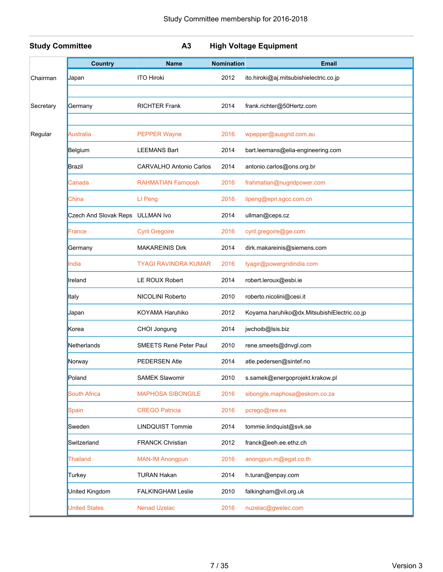|  | tudy Committee |  |
|--|----------------|--|
|  |                |  |

**Study Committee A3 High Voltage Equipment**

|           | <b>Country</b>                   | <b>Name</b>                    | <b>Nomination</b> | <b>Email</b>                                |
|-----------|----------------------------------|--------------------------------|-------------------|---------------------------------------------|
| Chairman  | Japan                            | <b>ITO Hiroki</b>              | 2012              | ito.hiroki@aj.mitsubishielectric.co.jp      |
|           |                                  |                                |                   |                                             |
| Secretary | Germany                          | <b>RICHTER Frank</b>           | 2014              | frank.richter@50Hertz.com                   |
|           |                                  |                                |                   |                                             |
| Regular   | Australia                        | <b>PEPPER Wayne</b>            | 2016              | wpepper@ausgrid.com.au                      |
|           | Belgium                          | <b>LEEMANS Bart</b>            | 2014              | bart.leemans@elia-engineering.com           |
|           | <b>Brazil</b>                    | <b>CARVALHO Antonio Carlos</b> | 2014              | antonio.carlos@ons.org.br                   |
|           | Canada                           | <b>RAHMATIAN Farnoosh</b>      | 2016              | frahmatian@nugridpower.com                  |
|           | China                            | LI Peng                        | 2016              | lipeng@epri.sgcc.com.cn                     |
|           | Czech And Slovak Reps ULLMAN Ivo |                                | 2014              | ullman@ceps.cz                              |
|           | France                           | <b>Cyril Gregoire</b>          | 2016              | cyril.gregoire@ge.com                       |
|           | Germany                          | <b>MAKAREINIS Dirk</b>         | 2014              | dirk.makareinis@siemens.com                 |
|           | India                            | <b>TYAGI RAVINDRA KUMAR</b>    | 2016              | tyagir@powergridindia.com                   |
|           | Ireland                          | LE ROUX Robert                 | 2014              | robert.leroux@esbi.ie                       |
|           | <b>Italy</b>                     | NICOLINI Roberto               | 2010              | roberto.nicolini@cesi.it                    |
|           | Japan                            | KOYAMA Haruhiko                | 2012              | Koyama.haruhiko@dx.MitsubishiElectric.co.jp |
|           | Korea                            | CHOI Jongung                   | 2014              | jwchoib@lsis.biz                            |
|           | Netherlands                      | SMEETS René Peter Paul         | 2010              | rene.smeets@dnvgl.com                       |
|           | Norway                           | <b>PEDERSEN Atle</b>           | 2014              | atle.pedersen@sintef.no                     |
|           | Poland                           | <b>SAMEK Slawomir</b>          | 2010              | s.samek@energoprojekt.krakow.pl             |
|           | <b>South Africa</b>              | <b>MAPHOSA SIBONGILE</b>       | 2016              | sibongile.maphosa@eskom.co.za               |
|           | Spain                            | <b>CREGO Patricia</b>          | 2016              | pcrego@ree.es                               |
|           | Sweden                           | <b>LINDQUIST Tommie</b>        | 2014              | tommie.lindquist@svk.se                     |
|           | Switzerland                      | <b>FRANCK Christian</b>        | 2012              | franck@eeh.ee.ethz.ch                       |
|           | <b>Thailand</b>                  | <b>MAN-IM Anongpun</b>         | 2016              | anongpun.m@egat.co.th                       |
|           | Turkey                           | <b>TURAN Hakan</b>             | 2014              | h.turan@enpay.com                           |
|           | <b>United Kingdom</b>            | <b>FALKINGHAM Leslie</b>       | 2010              | falkingham@vil.org.uk                       |
|           | <b>United States</b>             | <b>Nenad Uzelac</b>            | 2016              | nuzelac@gwelec.com                          |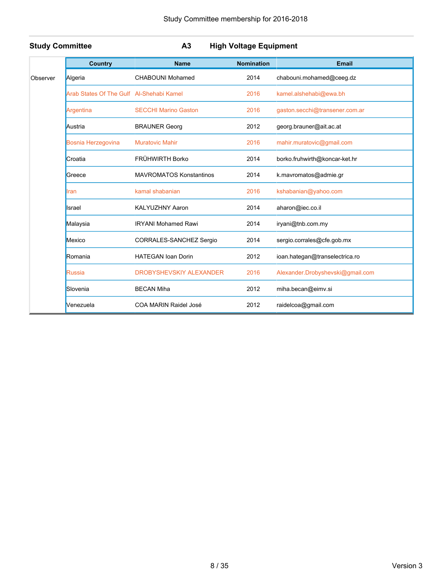|          | <b>Country</b>                           | <b>Name</b>                    | <b>Nomination</b> | <b>Email</b>                     |
|----------|------------------------------------------|--------------------------------|-------------------|----------------------------------|
| Observer | Algeria                                  | CHABOUNI Mohamed               | 2014              | chabouni.mohamed@ceeg.dz         |
|          | Arab States Of The Gulf Al-Shehabi Kamel |                                | 2016              | kamel.alshehabi@ewa.bh           |
|          | Argentina                                | <b>SECCHI Marino Gaston</b>    | 2016              | gaston.secchi@transener.com.ar   |
|          | Austria                                  | <b>BRAUNER Georg</b>           | 2012              | georg.brauner@ait.ac.at          |
|          | Bosnia Herzegovina                       | <b>Muratovic Mahir</b>         | 2016              | mahir.muratovic@gmail.com        |
|          | Croatia                                  | FRÜHWIRTH Borko                | 2014              | borko.fruhwirth@koncar-ket.hr    |
|          | Greece                                   | <b>MAVROMATOS Konstantinos</b> | 2014              | k.mavromatos@admie.gr            |
|          | Iran                                     | kamal shabanian                | 2016              | kshabanian@yahoo.com             |
|          | Israel                                   | <b>KALYUZHNY Aaron</b>         | 2014              | aharon@iec.co.il                 |
|          | Malaysia                                 | <b>IRYANI Mohamed Rawi</b>     | 2014              | iryani@tnb.com.my                |
|          | Mexico                                   | CORRALES-SANCHEZ Sergio        | 2014              | sergio.corrales@cfe.gob.mx       |
|          | Romania                                  | <b>HATEGAN Ioan Dorin</b>      | 2012              | ioan.hategan@transelectrica.ro   |
|          | Russia                                   | DROBYSHEVSKIY ALEXANDER        | 2016              | Alexander.Drobyshevski@gmail.com |
|          | Slovenia                                 | <b>BECAN Miha</b>              | 2012              | miha.becan@eimv.si               |
|          | Venezuela                                | COA MARIN Raidel José          | 2012              | raidelcoa@gmail.com              |

### **Study Committee A3 High Voltage Equipment**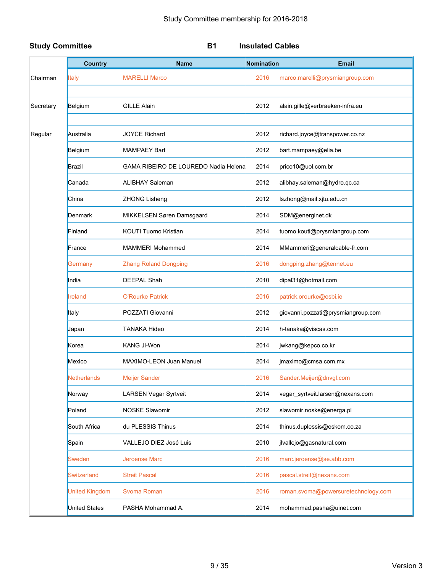| <b>Study Committee</b> |                    | <b>B1</b>                            | <b>Insulated Cables</b> |                                     |
|------------------------|--------------------|--------------------------------------|-------------------------|-------------------------------------|
|                        | <b>Country</b>     | <b>Name</b>                          | <b>Nomination</b>       | <b>Email</b>                        |
| Chairman               | <b>Italy</b>       | <b>MARELLI Marco</b>                 | 2016                    | marco.marelli@prysmiangroup.com     |
| Secretary              | Belgium            | <b>GILLE Alain</b>                   | 2012                    | alain.gille@verbraeken-infra.eu     |
| Regular                | Australia          | <b>JOYCE Richard</b>                 | 2012                    | richard.joyce@transpower.co.nz      |
|                        | Belgium            | <b>MAMPAEY Bart</b>                  | 2012                    | bart.mampaey@elia.be                |
|                        | Brazil             | GAMA RIBEIRO DE LOUREDO Nadia Helena | 2014                    | prico10@uol.com.br                  |
|                        | Canada             | <b>ALIBHAY Saleman</b>               | 2012                    | alibhay.saleman@hydro.qc.ca         |
|                        | China              | ZHONG Lisheng                        | 2012                    | lszhong@mail.xjtu.edu.cn            |
|                        | Denmark            | MIKKELSEN Søren Damsgaard            | 2014                    | SDM@energinet.dk                    |
|                        | Finland            | <b>KOUTI Tuomo Kristian</b>          | 2014                    | tuomo.kouti@prysmiangroup.com       |
|                        | France             | <b>MAMMERI Mohammed</b>              | 2014                    | MMammeri@generalcable-fr.com        |
|                        | Germany            | <b>Zhang Roland Dongping</b>         | 2016                    | dongping.zhang@tennet.eu            |
|                        | India              | <b>DEEPAL Shah</b>                   | 2010                    | dipal31@hotmail.com                 |
|                        | <b>Ireland</b>     | <b>O'Rourke Patrick</b>              | 2016                    | patrick.orourke@esbi.ie             |
|                        | Italy              | POZZATI Giovanni                     | 2012                    | giovanni.pozzati@prysmiangroup.com  |
|                        | Japan              | <b>TANAKA Hideo</b>                  | 2014                    | h-tanaka@viscas.com                 |
|                        | Korea              | KANG Ji-Won                          | 2014                    | jwkang@kepco.co.kr                  |
|                        | Mexico             | MAXIMO-LEON Juan Manuel              | 2014                    | jmaximo@cmsa.com.mx                 |
|                        | <b>Netherlands</b> | <b>Meijer Sander</b>                 | 2016                    | Sander.Meijer@dnvgl.com             |
|                        | Norway             | <b>LARSEN Vegar Syrtveit</b>         | 2014                    | vegar_syrtveit.larsen@nexans.com    |
|                        | Poland             | <b>NOSKE Slawomir</b>                | 2012                    | slawomir.noske@energa.pl            |
|                        | South Africa       | du PLESSIS Thinus                    | 2014                    | thinus.duplessis@eskom.co.za        |
|                        | Spain              | VALLEJO DIEZ José Luis               | 2010                    | jlvallejo@gasnatural.com            |
|                        | Sweden             | Jeroense Marc                        | 2016                    | marc.jeroense@se.abb.com            |
|                        | <b>Switzerland</b> | <b>Streit Pascal</b>                 | 2016                    | pascal.streit@nexans.com            |
|                        | United Kingdom     | Svoma Roman                          | 2016                    | roman.svoma@powersuretechnology.com |
|                        | United States      | PASHA Mohammad A.                    | 2014                    | mohammad.pasha@uinet.com            |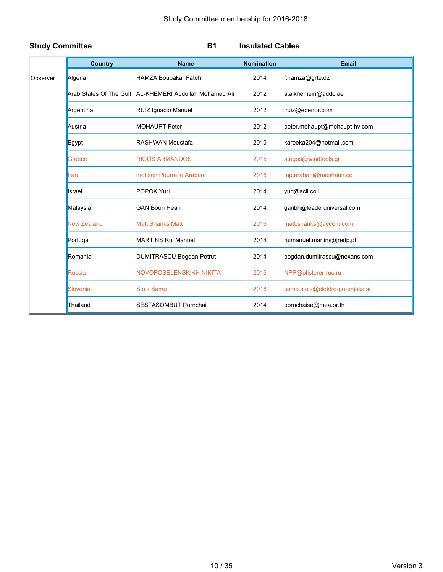| <b>Study Committee</b> |                    | <b>B1</b>                                               | <b>Insulated Cables</b> |                                 |
|------------------------|--------------------|---------------------------------------------------------|-------------------------|---------------------------------|
|                        | <b>Country</b>     | <b>Name</b>                                             | <b>Nomination</b>       | <b>Email</b>                    |
| Observer               | Algeria            | <b>HAMZA Boubakar Fateh</b>                             | 2014                    | f.hamza@grte.dz                 |
|                        |                    | Arab States Of The Gulf AL-KHEMERI Abdullah Mohamed Ali | 2012                    | a.alkhemeiri@addc.ae            |
|                        | Argentina          | RUIZ Ignacio Manuel                                     | 2012                    | iruiz@edenor.com                |
|                        | Austria            | <b>MOHAUPT Peter</b>                                    | 2012                    | peter.mohaupt@mohaupt-hv.com    |
|                        | Egypt              | RASHWAN Moustafa                                        | 2010                    | kareeka204@hotmail.com          |
|                        | Greece             | <b>RIGOS ARMANDOS</b>                                   | 2016                    | a.rigos@windtools.gr            |
|                        | Iran               | mohsen Pourrafie Arabani                                | 2016                    | mp.arabani@moshanir.co          |
|                        | Israel             | POPOK Yuri                                              | 2014                    | yuri@scli.co.il                 |
|                        | Malaysia           | <b>GAN Boon Hean</b>                                    | 2014                    | ganbh@leaderuniversal.com       |
|                        | <b>New Zealand</b> | <b>Matt Shanks Matt</b>                                 | 2016                    | matt.shanks@aecom.com           |
|                        | Portugal           | <b>MARTINS Rui Manuel</b>                               | 2014                    | ruimanuel.martins@redp.pt       |
|                        | Romania            | DUMITRASCU Bogdan Petrut                                | 2014                    | bogdan.dumitrascu@nexans.com    |
|                        | <b>Russia</b>      | NOVOPOSELENSKIKH NIKITA                                 | 2016                    | NPP@pfisterer-rus.ru            |
|                        | Slovenia           | Stojs Samo                                              | 2016                    | samo.stojs@elektro-gorenjska.si |
|                        | Thailand           | SESTASOMBUT Pornchai                                    | 2014                    | pornchaise@mea.or.th            |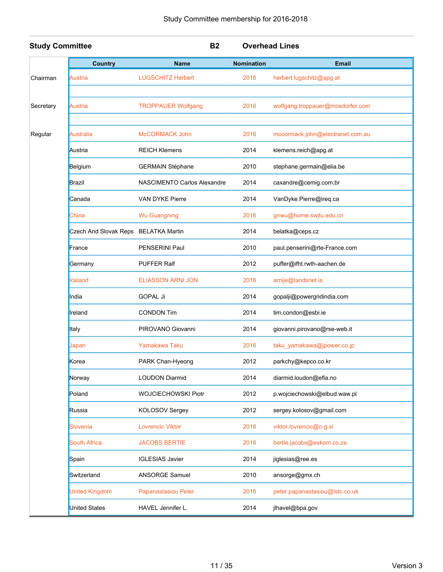| <b>Study Committee</b> |                                      | <b>B2</b>                          |                   | <b>Overhead Lines</b>            |
|------------------------|--------------------------------------|------------------------------------|-------------------|----------------------------------|
|                        | <b>Country</b>                       | <b>Name</b>                        | <b>Nomination</b> | <b>Email</b>                     |
| Chairman               | Austria                              | <b>LUGSCHITZ Herbert</b>           | 2016              | herbert.lugschitz@apg.at         |
|                        |                                      |                                    |                   |                                  |
| Secretary              | Austria                              | <b>TROPPAUER Wolfgang</b>          | 2016              | wolfgang.troppauer@mosdorfer.com |
| Regular                | <b>Australia</b>                     | <b>McCORMACK John</b>              | 2016              | mccormack.john@electranet.com.au |
|                        | Austria                              | <b>REICH Klemens</b>               | 2014              | klemens.reich@apg.at             |
|                        | Belgium                              | <b>GERMAIN Stéphane</b>            | 2010              | stephane.germain@elia.be         |
|                        | <b>Brazil</b>                        | <b>NASCIMENTO Carlos Alexandre</b> | 2014              | caxandre@cemig.com.br            |
|                        | Canada                               | <b>VAN DYKE Pierre</b>             | 2014              | VanDyke.Pierre@ireq.ca           |
|                        | China                                | <b>Wu Guangning</b>                | 2016              | gnwu@home.swjtu.edu.cn           |
|                        | Czech And Slovak Reps BELATKA Martin |                                    | 2014              | belatka@ceps.cz                  |
|                        | France                               | PENSERINI Paul                     | 2010              | paul.penserini@rte-France.com    |
|                        | Germany                              | <b>PUFFER Ralf</b>                 | 2012              | puffer@ifht.rwth-aachen.de       |
|                        | <b>celand</b>                        | ELIASSON ARNI JON                  | 2016              | arnije@landsnet.is               |
|                        | India                                | <b>GOPAL Ji</b>                    | 2014              | gopalji@powergridindia.com       |
|                        | Ireland                              | <b>CONDON Tim</b>                  | 2014              | tim.condon@esbi.ie               |
|                        | Italy                                | PIROVANO Giovanni                  | 2014              | giovanni pirovano@rse-web.it     |
|                        | Japan                                | Yamakawa Taku                      | 2016              | taku_yamakawa@jpower.co.jp       |
|                        | Korea                                | PARK Chan-Hyeong                   | 2012              | parkchy@kepco.co.kr              |
|                        | Norway                               | <b>LOUDON Diarmid</b>              | 2014              | diarmid.loudon@efla.no           |
|                        | Poland                               | WOJCIECHOWSKI Piotr                | 2012              | p.wojciechowski@elbud.waw.pl     |
|                        | Russia                               | KOLOSOV Sergey                     | 2012              | sergey.kolosov@gmail.com         |
|                        | Slovenia                             | <b>Lovrencic Viktor</b>            | 2016              | viktor.lovrencic@c-g.si          |
|                        | <b>South Africa</b>                  | <b>JACOBS BERTIE</b>               | 2016              | bertie.jacobs@eskom.co.za        |
|                        | Spain                                | <b>IGLESIAS Javier</b>             | 2014              | jiglesias@ree.es                 |
|                        | Switzerland                          | ANSORGE Samuel                     | 2010              | ansorge@gmx.ch                   |
|                        | <b>United Kingdom</b>                | Papanastasiou Peter                | 2016              | peter.papanastasiou@lstc.co.uk   |
|                        | <b>United States</b>                 | HAVEL Jennifer L.                  | 2014              | jlhavel@bpa.gov                  |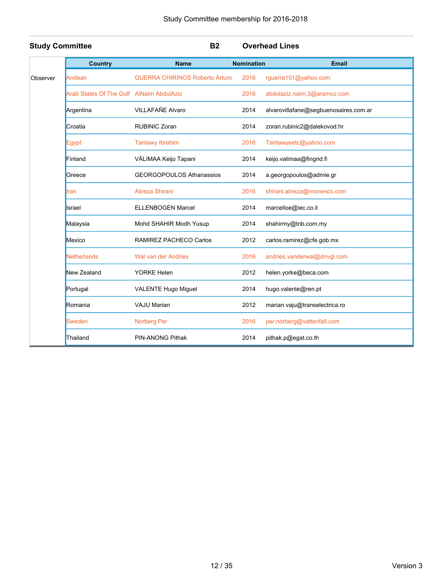| <b>Study Committee</b> |                                          | <b>B2</b>                             |                   | <b>Overhead Lines</b>                 |
|------------------------|------------------------------------------|---------------------------------------|-------------------|---------------------------------------|
|                        | <b>Country</b>                           | <b>Name</b>                           | <b>Nomination</b> | <b>Email</b>                          |
| Observer               | Andean                                   | <b>GUERRA CHIRINOS Roberto Arturo</b> | 2016              | rguerra101@yahoo.com                  |
|                        | Arab States Of The Gulf AlNaim AbdulAziz |                                       | 2016              | abdulaziz.naim.3@aramco.com           |
|                        | Argentina                                | VILLAFAÑE Alvaro                      | 2014              | alvarovillafane@segbuenosaires.com.ar |
|                        | Croatia                                  | <b>RUBINIC Zoran</b>                  | 2014              | zoran.rubinic2@dalekovod.hr           |
|                        | <b>Egypt</b>                             | <b>Tantawy Ibrahim</b>                | 2016              | Tantawyeetc@yahoo.com                 |
|                        | Finland                                  | VÄLIMAA Keijo Tapani                  | 2014              | keijo.valimaa@fingrid.fi              |
|                        | Greece                                   | <b>GEORGOPOULOS Athanassios</b>       | 2014              | a.georgopoulos@admie.gr               |
|                        | Iran                                     | Alireza Shirani                       | 2016              | shirani.alireza@monenco.com           |
|                        | Israel                                   | <b>ELLENBOGEN Marcel</b>              | 2014              | marcelloe@iec.co.il                   |
|                        | Malaysia                                 | Mohd SHAHIR Modh Yusup                | 2014              | shahirmy@tnb.com.my                   |
|                        | Mexico                                   | <b>RAMIREZ PACHECO Carlos</b>         | 2012              | carlos.ramirez@cfe.gob.mx             |
|                        | Netherlands                              | Wal van der Andries                   | 2016              | andries.vanderwal@dnvgl.com           |
|                        | New Zealand                              | <b>YORKE Helen</b>                    | 2012              | helen.yorke@beca.com                  |
|                        | Portugal                                 | VALENTE Hugo Miguel                   | 2014              | hugo.valente@ren.pt                   |
|                        | Romania                                  | <b>VAJU Marian</b>                    | 2012              | marian.vaju@transelectrica.ro         |
|                        | Sweden                                   | <b>Norberg Per</b>                    | 2016              | per.norberg@vattenfall.com            |
|                        | Thailand                                 | <b>PIN-ANONG Pithak</b>               | 2014              | pithak.p@egat.co.th                   |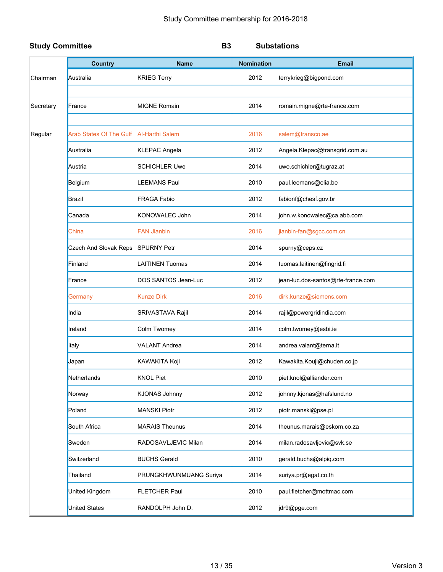| <b>Study Committee</b> |                                         |                        | <b>B3</b>         | <b>Substations</b>                 |
|------------------------|-----------------------------------------|------------------------|-------------------|------------------------------------|
|                        | <b>Country</b>                          | <b>Name</b>            | <b>Nomination</b> | <b>Email</b>                       |
| Chairman               | Australia                               | <b>KRIEG Terry</b>     | 2012              | terrykrieg@bigpond.com             |
|                        |                                         |                        |                   |                                    |
| Secretary              | France                                  | <b>MIGNE Romain</b>    | 2014              | romain.migne@rte-france.com        |
|                        |                                         |                        |                   |                                    |
| Regular                | Arab States Of The Gulf Al-Harthi Salem |                        | 2016              | salem@transco.ae                   |
|                        | Australia                               | <b>KLEPAC Angela</b>   | 2012              | Angela.Klepac@transgrid.com.au     |
|                        | Austria                                 | <b>SCHICHLER Uwe</b>   | 2014              | uwe.schichler@tugraz.at            |
|                        | Belgium                                 | <b>LEEMANS Paul</b>    | 2010              | paul.leemans@elia.be               |
|                        | Brazil                                  | <b>FRAGA Fabio</b>     | 2012              | fabionf@chesf.gov.br               |
|                        | Canada                                  | KONOWALEC John         | 2014              | john.w.konowalec@ca.abb.com        |
|                        | China                                   | <b>FAN Jianbin</b>     | 2016              | jianbin-fan@sgcc.com.cn            |
|                        | Czech And Slovak Reps SPURNY Petr       |                        | 2014              | spurny@ceps.cz                     |
|                        | Finland                                 | <b>LAITINEN Tuomas</b> | 2014              | tuomas.laitinen@fingrid.fi         |
|                        | France                                  | DOS SANTOS Jean-Luc    | 2012              | jean-luc.dos-santos@rte-france.com |
|                        | Germany                                 | <b>Kunze Dirk</b>      | 2016              | dirk.kunze@siemens.com             |
|                        | India                                   | SRIVASTAVA Rajil       | 2014              | rajil@powergridindia.com           |
|                        | Ireland                                 | Colm Twomey            | 2014              | colm.twomey@esbi.ie                |
|                        | Italy                                   | <b>VALANT Andrea</b>   | 2014              | andrea.valant@terna.it             |
|                        | Japan                                   | KAWAKITA Koji          | 2012              | Kawakita.Kouji@chuden.co.jp        |
|                        | Netherlands                             | <b>KNOL Piet</b>       | 2010              | piet.knol@alliander.com            |
|                        | Norway                                  | <b>KJONAS Johnny</b>   | 2012              | johnny.kjonas@hafslund.no          |
|                        | Poland                                  | <b>MANSKI Piotr</b>    | 2012              | piotr.manski@pse.pl                |
|                        | South Africa                            | <b>MARAIS Theunus</b>  | 2014              | theunus.marais@eskom.co.za         |
|                        | Sweden                                  | RADOSAVLJEVIC Milan    | 2014              | milan.radosavljevic@svk.se         |
|                        | Switzerland                             | <b>BUCHS Gerald</b>    | 2010              | gerald.buchs@alpiq.com             |
|                        | Thailand                                | PRUNGKHWUNMUANG Suriya | 2014              | suriya.pr@egat.co.th               |
|                        | United Kingdom                          | <b>FLETCHER Paul</b>   | 2010              | paul.fletcher@mottmac.com          |
|                        | United States                           | RANDOLPH John D.       | 2012              | jdr9@pge.com                       |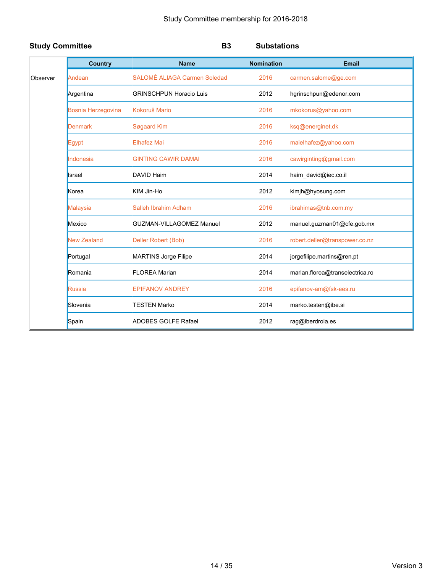| <b>Study Committee</b> |                    | <b>B3</b>                       | <b>Substations</b> |                                 |
|------------------------|--------------------|---------------------------------|--------------------|---------------------------------|
|                        | <b>Country</b>     | <b>Name</b>                     | <b>Nomination</b>  | <b>Email</b>                    |
| Observer               | Andean             | SALOMÉ ALIAGA Carmen Soledad    | 2016               | carmen.salome@ge.com            |
|                        | Argentina          | <b>GRINSCHPUN Horacio Luis</b>  | 2012               | hgrinschpun@edenor.com          |
|                        | Bosnia Herzegovina | Kokoruš Mario                   | 2016               | mkokorus@yahoo.com              |
|                        | <b>Denmark</b>     | Søgaard Kim                     | 2016               | ksq@energinet.dk                |
|                        | Egypt              | <b>Elhafez Mai</b>              | 2016               | maielhafez@yahoo.com            |
|                        | Indonesia          | <b>GINTING CAWIR DAMAI</b>      | 2016               | cawirginting@gmail.com          |
|                        | Israel             | DAVID Haim                      | 2014               | haim_david@iec.co.il            |
|                        | Korea              | KIM Jin-Ho                      | 2012               | kimjh@hyosung.com               |
|                        | <b>Malaysia</b>    | Salleh Ibrahim Adham            | 2016               | ibrahimas@tnb.com.my            |
|                        | Mexico             | <b>GUZMAN-VILLAGOMEZ Manuel</b> | 2012               | manuel.guzman01@cfe.gob.mx      |
|                        | <b>New Zealand</b> | Deller Robert (Bob)             | 2016               | robert.deller@transpower.co.nz  |
|                        | Portugal           | <b>MARTINS Jorge Filipe</b>     | 2014               | jorgefilipe.martins@ren.pt      |
|                        | Romania            | <b>FLOREA Marian</b>            | 2014               | marian.florea@transelectrica.ro |
|                        | <b>Russia</b>      | <b>EPIFANOV ANDREY</b>          | 2016               | epifanov-am@fsk-ees.ru          |
|                        | Slovenia           | <b>TESTEN Marko</b>             | 2014               | marko.testen@ibe.si             |
|                        | Spain              | <b>ADOBES GOLFE Rafael</b>      | 2012               | rag@iberdrola.es                |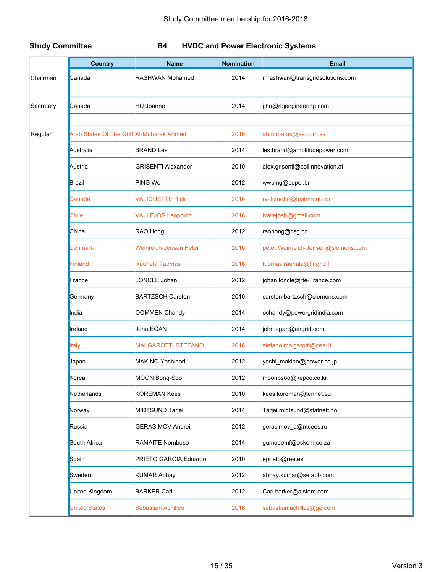### **Study Committee B4 HVDC and Power Electronic Systems**

|           | <b>Country</b>                           | <b>Name</b>                   | <b>Nomination</b> | <b>Email</b>                       |
|-----------|------------------------------------------|-------------------------------|-------------------|------------------------------------|
| Chairman  | Canada                                   | <b>RASHWAN Mohamed</b>        | 2014              | mrashwan@transgridsolutions.com    |
|           |                                          |                               |                   |                                    |
| Secretary | Canada                                   | <b>HU Joanne</b>              | 2014              | j.hu@rbjengineering.com            |
| Regular   | Arab States Of The Gulf Al-Mubarak Ahmed |                               | 2016              | ahmubarak@se.com.sa                |
|           | Australia                                | <b>BRAND Les</b>              | 2014              | les.brand@amplitudepower.com       |
|           | Austria                                  | <b>GRISENTI Alexander</b>     | 2010              | alex.grisenti@coilinnovation.at    |
|           | Brazil                                   | PING Wo                       | 2012              | wwping@cepel.br                    |
|           | Canada                                   | <b>VALIQUETTE Rick</b>        | 2016              | rvaliquette@teshmont.com           |
|           | Chile                                    | <b>VALLEJOS Leopoldo</b>      | 2016              | Ivallejosh@gmail.com               |
|           | China                                    | RAO Hong                      | 2012              | raohong@csg.cn                     |
|           | Denmark                                  | <b>Weinreich-Jensen Peter</b> | 2016              | peter.Weinreich-Jensen@siemens.com |
|           | Finland                                  | <b>Rauhala Tuomas</b>         | 2016              | tuomas.rauhala@fingrid.fi          |
|           | France                                   | LONCLE Johan                  | 2012              | johan.loncle@rte-France.com        |
|           | Germany                                  | <b>BARTZSCH Carsten</b>       | 2010              | carsten.bartzsch@siemens.com       |
|           | India                                    | <b>OOMMEN Chandy</b>          | 2014              | ochandy@powergridindia.com         |
|           | Ireland                                  | John EGAN                     | 2014              | john.egan@eirgrid.com              |
|           | Italy                                    | <b>MALGAROTTI STEFANO</b>     | 2016              | stefano.malgarotti@cesi.it         |
|           | Japan                                    | <b>MAKINO Yoshinori</b>       | 2012              | yoshi_makino@jpower.co.jp          |
|           | Korea                                    | <b>MOON Bong-Soo</b>          | 2012              | moonbsoo@kepco.co.kr               |
|           | Netherlands                              | <b>KOREMAN Kees</b>           | 2010              | kees.koreman@tennet.eu             |
|           | Norway                                   | MIDTSUND Tarjei               | 2014              | Tarjei.midtsund@statnett.no        |
|           | Russia                                   | <b>GERASIMOV Andrei</b>       | 2012              | gerasimov_a@ntcees.ru              |
|           | South Africa                             | RAMAITE Nombuso               | 2014              | gumedemf@eskom.co.za               |
|           | Spain                                    | PRIETO GARCIA Eduardo         | 2010              | eprieto@ree.es                     |
|           | Sweden                                   | <b>KUMAR Abhay</b>            | 2012              | abhay.kumar@se.abb.com             |
|           | United Kingdom                           | <b>BARKER Carl</b>            | 2012              | Carl.barker@alstom.com             |
|           | United States                            | <b>Sebastian Achilles</b>     | 2016              | sebastian.achilles@ge.com          |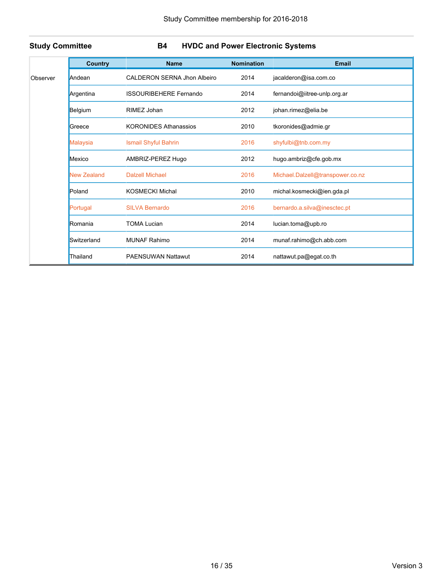**Study Committee B4 HVDC and Power Electronic Systems**

|          | <b>Country</b>     | <b>Name</b>                        | <b>Nomination</b> | <b>Email</b>                     |
|----------|--------------------|------------------------------------|-------------------|----------------------------------|
| Observer | Andean             | <b>CALDERON SERNA Jhon Albeiro</b> | 2014              | jacalderon@isa.com.co            |
|          | Argentina          | <b>ISSOURIBEHERE Fernando</b>      | 2014              | fernandoi@iitree-unlp.org.ar     |
|          | Belgium            | RIMEZ Johan                        | 2012              | johan.rimez@elia.be              |
|          | Greece             | <b>KORONIDES Athanassios</b>       | 2010              | tkoronides@admie.gr              |
|          | Malaysia           | Ismail Shyful Bahrin               | 2016              | shyfulbi@tnb.com.my              |
|          | Mexico             | AMBRIZ-PEREZ Hugo                  | 2012              | hugo.ambriz@cfe.gob.mx           |
|          | <b>New Zealand</b> | <b>Dalzell Michael</b>             | 2016              | Michael.Dalzell@transpower.co.nz |
|          | Poland             | <b>KOSMECKI Michal</b>             | 2010              | michal.kosmecki@ien.gda.pl       |
|          | Portugal           | <b>SILVA Bernardo</b>              | 2016              | bernardo.a.silva@inesctec.pt     |
|          | Romania            | <b>TOMA Lucian</b>                 | 2014              | lucian.toma@upb.ro               |
|          | Switzerland        | <b>MUNAF Rahimo</b>                | 2014              | munaf.rahimo@ch.abb.com          |
|          | Thailand           | <b>PAENSUWAN Nattawut</b>          | 2014              | nattawut.pa@egat.co.th           |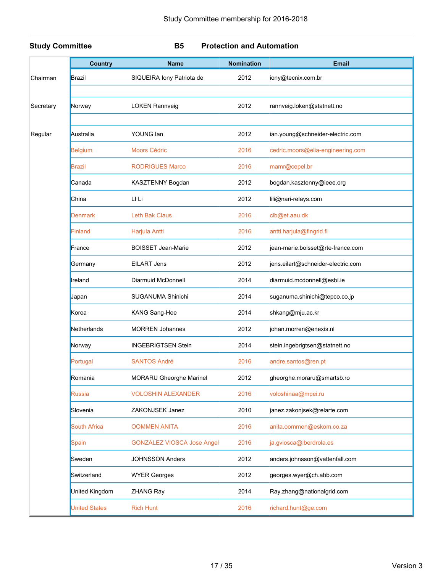### **Study Committee B5 Protection and Automation**

|           | <b>Country</b>       | <b>Name</b>                       | <b>Nomination</b> | <b>Email</b>                       |
|-----------|----------------------|-----------------------------------|-------------------|------------------------------------|
| Chairman  | Brazil               | SIQUEIRA lony Patriota de         | 2012              | iony@tecnix.com.br                 |
|           |                      |                                   |                   |                                    |
| Secretary | Norway               | <b>LOKEN Rannveig</b>             | 2012              | rannveig.loken@statnett.no         |
|           |                      |                                   |                   |                                    |
| Regular   | Australia            | YOUNG Ian                         | 2012              | ian.young@schneider-electric.com   |
|           | Belgium              | <b>Moors Cédric</b>               | 2016              | cedric.moors@elia-engineering.com  |
|           | <b>Brazil</b>        | <b>RODRIGUES Marco</b>            | 2016              | mamr@cepel.br                      |
|           | Canada               | KASZTENNY Bogdan                  | 2012              | bogdan.kasztenny@ieee.org          |
|           | China                | LI Li                             | 2012              | lili@nari-relays.com               |
|           | <b>Denmark</b>       | <b>Leth Bak Claus</b>             | 2016              | clb@et.aau.dk                      |
|           | Finland              | Harjula Antti                     | 2016              | antti.harjula@fingrid.fi           |
|           | France               | <b>BOISSET Jean-Marie</b>         | 2012              | jean-marie.boisset@rte-france.com  |
|           | Germany              | <b>EILART Jens</b>                | 2012              | jens.eilart@schneider-electric.com |
|           | Ireland              | Diarmuid McDonnell                | 2014              | diarmuid.mcdonnell@esbi.ie         |
|           | Japan                | SUGANUMA Shinichi                 | 2014              | suganuma.shinichi@tepco.co.jp      |
|           | Korea                | KANG Sang-Hee                     | 2014              | shkang@mju.ac.kr                   |
|           | Netherlands          | <b>MORREN Johannes</b>            | 2012              | johan.morren@enexis.nl             |
|           | Norway               | <b>INGEBRIGTSEN Stein</b>         | 2014              | stein.ingebrigtsen@statnett.no     |
|           | Portugal             | <b>SANTOS André</b>               | 2016              | andre.santos@ren.pt                |
|           | Romania              | <b>MORARU Gheorghe Marinel</b>    | 2012              | gheorghe.moraru@smartsb.ro         |
|           | Russia               | <b>VOLOSHIN ALEXANDER</b>         | 2016              | voloshinaa@mpei.ru                 |
|           | Slovenia             | ZAKONJSEK Janez                   | 2010              | janez.zakonjsek@relarte.com        |
|           | <b>South Africa</b>  | <b>OOMMEN ANITA</b>               | 2016              | anita.oommen@eskom.co.za           |
|           | Spain                | <b>GONZALEZ VIOSCA Jose Angel</b> | 2016              | ja.gviosca@iberdrola.es            |
|           | Sweden               | <b>JOHNSSON Anders</b>            | 2012              | anders.johnsson@vattenfall.com     |
|           | Switzerland          | <b>WYER Georges</b>               | 2012              | georges.wyer@ch.abb.com            |
|           | United Kingdom       | ZHANG Ray                         | 2014              | Ray.zhang@nationalgrid.com         |
|           | <b>United States</b> | <b>Rich Hunt</b>                  | 2016              | richard.hunt@ge.com                |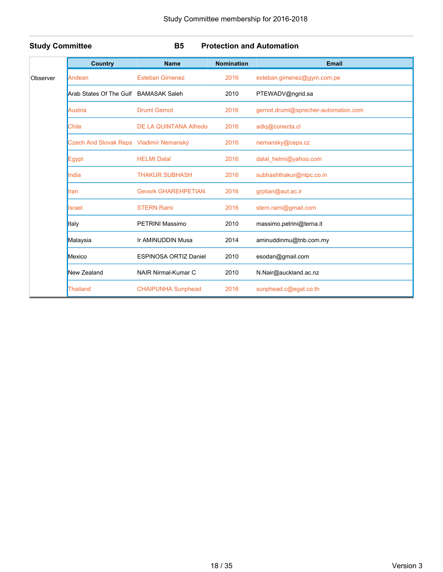### **Study Committee B5 Protection and Automation**

|          | <b>Country</b>                          | <b>Name</b>                   | <b>Nomination</b> | <b>Email</b>                         |
|----------|-----------------------------------------|-------------------------------|-------------------|--------------------------------------|
| Observer | Andean                                  | <b>Esteban Gimenez</b>        | 2016              | esteban.gimenez@gym.com.pe           |
|          | Arab States Of The Gulf                 | <b>BAMASAK Saleh</b>          | 2010              | PTEWADV@ngrid.sa                     |
|          | Austria                                 | <b>Druml Gernot</b>           | 2016              | gernot.druml@sprecher-automation.com |
|          | Chile                                   | <b>DE LA QUINTANA Alfredo</b> | 2016              | adlq@conecta.cl                      |
|          | Czech And Slovak Reps Vladimír Nemanský |                               | 2016              | nemansky@ceps.cz                     |
|          | Egypt                                   | <b>HELMI Dalal</b>            | 2016              | dalal_helmi@yahoo.com                |
|          | India                                   | <b>THAKUR SUBHASH</b>         | 2016              | subhashthakur@ntpc.co.in             |
|          | Iran                                    | <b>Gevork GHAREHPETIAN</b>    | 2016              | grptian@aut.ac.ir                    |
|          | <b>Israel</b>                           | <b>STERN Rami</b>             | 2016              | stern.rami@gmail.com                 |
|          | Italy                                   | PETRINI Massimo               | 2010              | massimo.petrini@terna.it             |
|          | Malaysia                                | Ir AMINUDDIN Musa             | 2014              | aminuddinmu@tnb.com.my               |
|          | Mexico                                  | <b>ESPINOSA ORTIZ Daniel</b>  | 2010              | esodan@gmail.com                     |
|          | New Zealand                             | NAIR Nirmal-Kumar C           | 2010              | N.Nair@auckland.ac.nz                |
|          | Thailand                                | <b>CHAIPUNHA Sunphead</b>     | 2016              | sunphead.c@egat.co.th                |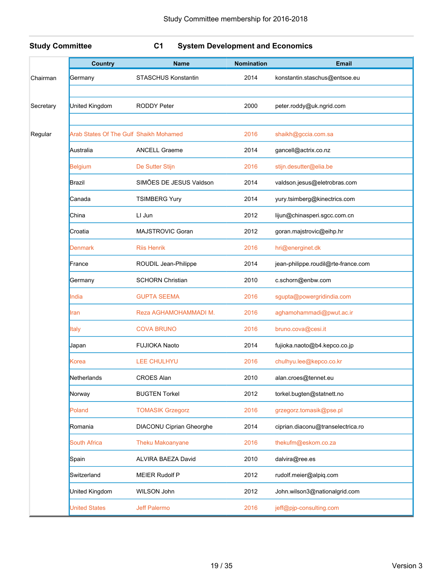### **Study Committee C1 System Development and Economics**

|           | <b>Country</b>                         | <b>Name</b>                     | <b>Nomination</b> | <b>Email</b>                        |
|-----------|----------------------------------------|---------------------------------|-------------------|-------------------------------------|
| Chairman  | Germany                                | <b>STASCHUS Konstantin</b>      | 2014              | konstantin.staschus@entsoe.eu       |
|           |                                        |                                 |                   |                                     |
| Secretary | United Kingdom                         | <b>RODDY Peter</b>              | 2000              | peter.roddy@uk.ngrid.com            |
|           |                                        |                                 |                   |                                     |
| Regular   | Arab States Of The Gulf Shaikh Mohamed |                                 | 2016              | shaikh@gccia.com.sa                 |
|           | Australia                              | <b>ANCELL Graeme</b>            | 2014              | gancell@actrix.co.nz                |
|           | <b>Belgium</b>                         | De Sutter Stijn                 | 2016              | stijn.desutter@elia.be              |
|           | Brazil                                 | SIMÕES DE JESUS Valdson         | 2014              | valdson.jesus@eletrobras.com        |
|           | Canada                                 | <b>TSIMBERG Yury</b>            | 2014              | yury.tsimberg@kinectrics.com        |
|           | China                                  | LI Jun                          | 2012              | lijun@chinasperi.sgcc.com.cn        |
|           | Croatia                                | MAJSTROVIC Goran                | 2012              | goran.majstrovic@eihp.hr            |
|           | Denmark                                | <b>Riis Henrik</b>              | 2016              | hri@energinet.dk                    |
|           | France                                 | ROUDIL Jean-Philippe            | 2014              | jean-philippe.roudil@rte-france.com |
|           | Germany                                | <b>SCHORN Christian</b>         | 2010              | c.schorn@enbw.com                   |
|           | India                                  | <b>GUPTA SEEMA</b>              | 2016              | sgupta@powergridindia.com           |
|           | ran                                    | Reza AGHAMOHAMMADI M.           | 2016              | aghamohammadi@pwut.ac.ir            |
|           | ltaly                                  | <b>COVA BRUNO</b>               | 2016              | bruno.cova@cesi.it                  |
|           | Japan                                  | <b>FUJIOKA Naoto</b>            | 2014              | fujioka.naoto@b4.kepco.co.jp        |
|           | Korea                                  | <b>LEE CHULHYU</b>              | 2016              | chulhyu.lee@kepco.co.kr             |
|           | Netherlands                            | <b>CROES Alan</b>               | 2010              | alan.croes@tennet.eu                |
|           | Norway                                 | <b>BUGTEN Torkel</b>            | 2012              | torkel.bugten@statnett.no           |
|           | Poland                                 | <b>TOMASIK Grzegorz</b>         | 2016              | grzegorz.tomasik@pse.pl             |
|           | Romania                                | <b>DIACONU Ciprian Gheorghe</b> | 2014              | ciprian.diaconu@transelectrica.ro   |
|           | <b>South Africa</b>                    | <b>Theku Makoanyane</b>         | 2016              | thekufm@eskom.co.za                 |
|           | Spain                                  | ALVIRA BAEZA David              | 2010              | dalvira@ree.es                      |
|           | Switzerland                            | <b>MEIER Rudolf P</b>           | 2012              | rudolf.meier@alpiq.com              |
|           | United Kingdom                         | WILSON John                     | 2012              | John.wilson3@nationalgrid.com       |
|           | <b>Jnited States</b>                   | Jeff Palermo                    | 2016              | jeff@pjp-consulting.com             |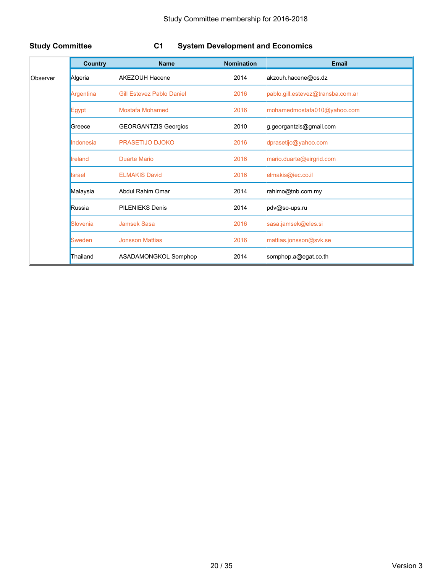### **Study Committee C1 System Development and Economics**

|          | <b>Country</b> | <b>Name</b>                      | <b>Nomination</b> | <b>Email</b>                      |
|----------|----------------|----------------------------------|-------------------|-----------------------------------|
| Observer | Algeria        | <b>AKEZOUH Hacene</b>            | 2014              | akzouh.hacene@os.dz               |
|          | Argentina      | <b>Gill Estevez Pablo Daniel</b> | 2016              | pablo.gill.estevez@transba.com.ar |
|          | Egypt          | <b>Mostafa Mohamed</b>           | 2016              | mohamedmostafa010@yahoo.com       |
|          | Greece         | <b>GEORGANTZIS Georgios</b>      | 2010              | g.georgantzis@gmail.com           |
|          | Indonesia      | <b>PRASETIJO DJOKO</b>           | 2016              | dprasetijo@yahoo.com              |
|          | Ireland        | Duarte Mario                     | 2016              | mario.duarte@eirgrid.com          |
|          | <b>Israel</b>  | <b>ELMAKIS David</b>             | 2016              | elmakis@iec.co.il                 |
|          | Malaysia       | Abdul Rahim Omar                 | 2014              | rahimo@tnb.com.my                 |
|          | Russia         | <b>PILENIEKS Denis</b>           | 2014              | pdv@so-ups.ru                     |
|          | Slovenia       | Jamsek Sasa                      | 2016              | sasa.jamsek@eles.si               |
|          | Sweden         | <b>Jonsson Mattias</b>           | 2016              | mattias.jonsson@svk.se            |
|          | Thailand       | ASADAMONGKOL Somphop             | 2014              | somphop.a@egat.co.th              |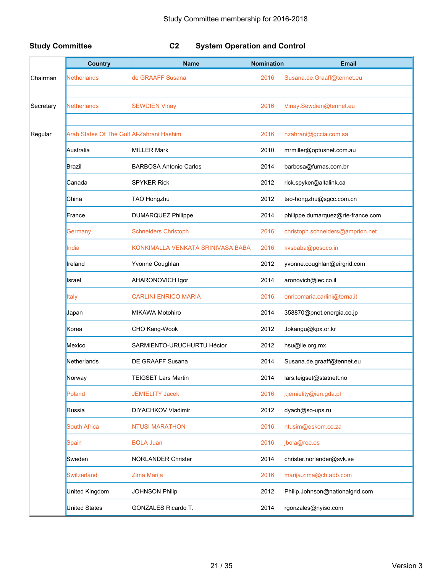**Study Committee C2 System Operation and Control**

|           | <b>Country</b>                            | <b>Name</b>                       | <b>Nomination</b> | <b>Email</b>                      |
|-----------|-------------------------------------------|-----------------------------------|-------------------|-----------------------------------|
| Chairman  | Netherlands                               | de GRAAFF Susana                  | 2016              | Susana.de.Graaff@tennet.eu        |
|           |                                           |                                   |                   |                                   |
| Secretary | <b>Netherlands</b>                        | <b>SEWDIEN Vinay</b>              | 2016              | Vinay.Sewdien@tennet.eu           |
|           |                                           |                                   |                   |                                   |
| Regular   | Arab States Of The Gulf Al-Zahrani Hashim |                                   | 2016              | hzahrani@gccia.com.sa             |
|           | Australia                                 | <b>MILLER Mark</b>                | 2010              | mrmiller@optusnet.com.au          |
|           | Brazil                                    | <b>BARBOSA Antonio Carlos</b>     | 2014              | barbosa@furnas.com.br             |
|           | Canada                                    | <b>SPYKER Rick</b>                | 2012              | rick.spyker@altalink.ca           |
|           | China                                     | TAO Hongzhu                       | 2012              | tao-hongzhu@sgcc.com.cn           |
|           | France                                    | <b>DUMARQUEZ Philippe</b>         | 2014              | philippe.dumarquez@rte-france.com |
|           | Germany                                   | <b>Schneiders Christoph</b>       | 2016              | christoph.schneiders@amprion.net  |
|           | India                                     | KONKIMALLA VENKATA SRINIVASA BABA | 2016              | kvsbaba@posoco.in                 |
|           | Ireland                                   | Yvonne Coughlan                   | 2012              | yvonne.coughlan@eirgrid.com       |
|           | Israel                                    | AHARONOVICH Igor                  | 2014              | aronovich@iec.co.il               |
|           | <b>Italy</b>                              | <b>CARLINI ENRICO MARIA</b>       | 2016              | enricomaria.carlini@terna.it      |
|           | Japan                                     | <b>MIKAWA Motohiro</b>            | 2014              | 358870@pnet.energia.co.jp         |
|           | Korea                                     | CHO Kang-Wook                     | 2012              | Jokangu@kpx.or.kr                 |
|           | Mexico                                    | SARMIENTO-URUCHURTU Héctor        | 2012              | hsu@iie.org.mx                    |
|           | Netherlands                               | DE GRAAFF Susana                  | 2014              | Susana.de.graaff@tennet.eu        |
|           | Norway                                    | <b>TEIGSET Lars Martin</b>        | 2014              | lars.teigset@statnett.no          |
|           | Poland                                    | <b>JEMIELITY Jacek</b>            | 2016              | j.jemielity@ien.gda.pl            |
|           | Russia                                    | DIYACHKOV Vladimir                | 2012              | dyach@so-ups.ru                   |
|           | <b>South Africa</b>                       | <b>NTUSI MARATHON</b>             | 2016              | ntusim@eskom.co.za                |
|           | Spain                                     | <b>BOLA Juan</b>                  | 2016              | jbola@ree.es                      |
|           | Sweden                                    | <b>NORLANDER Christer</b>         | 2014              | christer.norlander@svk.se         |
|           | <b>Switzerland</b>                        | Zima Marija                       | 2016              | marija.zima@ch.abb.com            |
|           | United Kingdom                            | <b>JOHNSON Philip</b>             | 2012              | Philip.Johnson@nationalgrid.com   |
|           | <b>United States</b>                      | GONZALES Ricardo T.               | 2014              | rgonzales@nyiso.com               |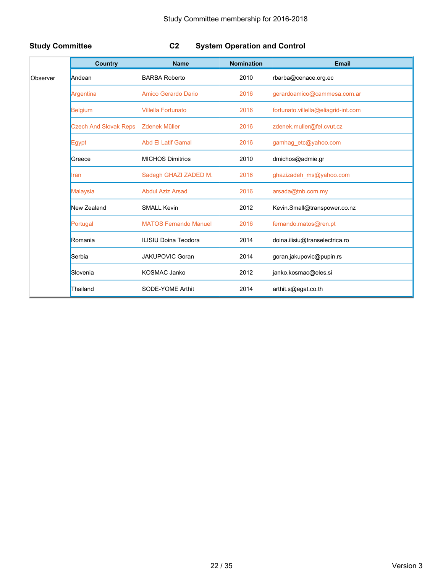### **Study Committee C2 System Operation and Control**

|          | <b>Country</b>               | <b>Name</b>                  | <b>Nomination</b> | <b>Email</b>                        |
|----------|------------------------------|------------------------------|-------------------|-------------------------------------|
| Observer | Andean                       | <b>BARBA Roberto</b>         | 2010              | rbarba@cenace.org.ec                |
|          | Argentina                    | Amico Gerardo Dario          | 2016              | gerardoamico@cammesa.com.ar         |
|          | <b>Belgium</b>               | <b>Villella Fortunato</b>    | 2016              | fortunato.villella@eliagrid-int.com |
|          | <b>Czech And Slovak Reps</b> | <b>Zdenek Müller</b>         | 2016              | zdenek.muller@fel.cvut.cz           |
|          | Egypt                        | <b>Abd El Latif Gamal</b>    | 2016              | gamhag_etc@yahoo.com                |
|          | Greece                       | <b>MICHOS Dimitrios</b>      | 2010              | dmichos@admie.gr                    |
|          | Iran                         | Sadegh GHAZI ZADED M.        | 2016              | ghazizadeh_ms@yahoo.com             |
|          | <b>Malaysia</b>              | <b>Abdul Aziz Arsad</b>      | 2016              | arsada@tnb.com.my                   |
|          | New Zealand                  | <b>SMALL Kevin</b>           | 2012              | Kevin.Small@transpower.co.nz        |
|          | Portugal                     | <b>MATOS Fernando Manuel</b> | 2016              | fernando.matos@ren.pt               |
|          | Romania                      | <b>ILISIU Doina Teodora</b>  | 2014              | doina.ilisiu@transelectrica.ro      |
|          | Serbia                       | <b>JAKUPOVIC Goran</b>       | 2014              | goran.jakupovic@pupin.rs            |
|          | Slovenia                     | <b>KOSMAC Janko</b>          | 2012              | janko.kosmac@eles.si                |
|          | Thailand                     | SODE-YOME Arthit             | 2014              | arthit.s@egat.co.th                 |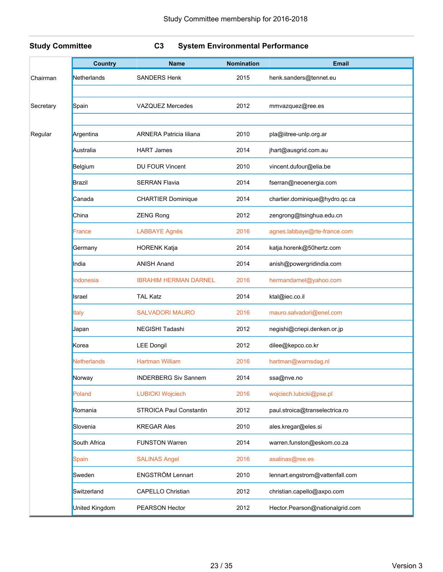### **Study Committee C3 System Environmental Performance**

|           | <b>Country</b>     | <b>Name</b>                    | <b>Nomination</b> | <b>Email</b>                    |
|-----------|--------------------|--------------------------------|-------------------|---------------------------------|
| Chairman  | Netherlands        | <b>SANDERS Henk</b>            | 2015              | henk.sanders@tennet.eu          |
|           |                    |                                |                   |                                 |
| Secretary | Spain              | <b>VAZQUEZ Mercedes</b>        | 2012              | mmvazquez@ree.es                |
|           |                    |                                |                   |                                 |
| Regular   | Argentina          | <b>ARNERA Patricia liliana</b> | 2010              | pla@iitree-unlp.org.ar          |
|           | Australia          | <b>HART James</b>              | 2014              | jhart@ausgrid.com.au            |
|           | Belgium            | DU FOUR Vincent                | 2010              | vincent.dufour@elia.be          |
|           | Brazil             | <b>SERRAN Flavia</b>           | 2014              | fserran@neoenergia.com          |
|           | Canada             | <b>CHARTIER Dominique</b>      | 2014              | chartier.dominique@hydro.qc.ca  |
|           | China              | <b>ZENG Rong</b>               | 2012              | zengrong@tsinghua.edu.cn        |
|           | France             | <b>LABBAYE Agnès</b>           | 2016              | agnes.labbaye@rte-france.com    |
|           | Germany            | <b>HORENK Katja</b>            | 2014              | katja.horenk@50hertz.com        |
|           | India              | <b>ANISH Anand</b>             | 2014              | anish@powergridindia.com        |
|           | Indonesia          | <b>IBRAHIM HERMAN DARNEL</b>   | 2016              | hermandarnel@yahoo.com          |
|           | Israel             | <b>TAL Katz</b>                | 2014              | ktal@iec.co.il                  |
|           | Italy              | <b>SALVADORI MAURO</b>         | 2016              | mauro.salvadori@enel.com        |
|           | Japan              | NEGISHI Tadashi                | 2012              | negishi@criepi.denken.or.jp     |
|           | Korea              | <b>LEE Dongil</b>              | 2012              | dilee@kepco.co.kr               |
|           | <b>Netherlands</b> | <b>Hartman William</b>         | 2016              | hartman@warnsdag.nl             |
|           | Norway             | <b>INDERBERG Siv Sannem</b>    | 2014              | ssa@nve.no                      |
|           | Poland             | <b>LUBICKI Wojciech</b>        | 2016              | wojciech.lubicki@pse.pl         |
|           | Romania            | STROICA Paul Constantin        | 2012              | paul.stroica@transelectrica.ro  |
|           | Slovenia           | <b>KREGAR Ales</b>             | 2010              | ales.kregar@eles.si             |
|           | South Africa       | <b>FUNSTON Warren</b>          | 2014              | warren.funston@eskom.co.za      |
|           | Spain              | <b>SALINAS Angel</b>           | 2016              | asalinas@ree.es                 |
|           | Sweden             | ENGSTRÖM Lennart               | 2010              | lennart.engstrom@vattenfall.com |
|           | Switzerland        | <b>CAPELLO Christian</b>       | 2012              | christian.capello@axpo.com      |
|           | United Kingdom     | PEARSON Hector                 | 2012              | Hector.Pearson@nationalgrid.com |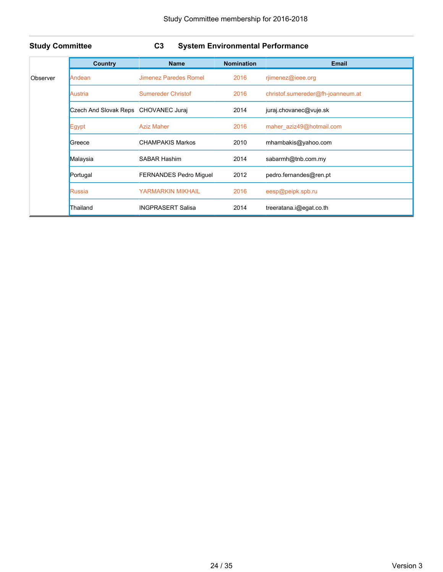### **Study Committee C3 System Environmental Performance**

|          | <b>Country</b>                       | <b>Name</b>                   | <b>Nomination</b> | <b>Email</b>                      |
|----------|--------------------------------------|-------------------------------|-------------------|-----------------------------------|
| Observer | Andean                               | Jimenez Paredes Romel         | 2016              | rjimenez@ieee.org                 |
|          | Austria                              | <b>Sumereder Christof</b>     | 2016              | christof.sumereder@fh-joanneum.at |
|          | Czech And Slovak Reps CHOVANEC Juraj |                               | 2014              | juraj.chovanec@vuje.sk            |
|          | Egypt                                | <b>Aziz Maher</b>             | 2016              | maher aziz49@hotmail.com          |
|          | Greece                               | <b>CHAMPAKIS Markos</b>       | 2010              | mhambakis@yahoo.com               |
|          | Malaysia                             | SABAR Hashim                  | 2014              | sabarmh@tnb.com.my                |
|          | Portugal                             | <b>FERNANDES Pedro Miguel</b> | 2012              | pedro fernandes@ren.pt            |
|          | Russia                               | <b>YARMARKIN MIKHAIL</b>      | 2016              | eesp@peipk.spb.ru                 |
|          | Thailand                             | <b>INGPRASERT Salisa</b>      | 2014              | treeratana.i@egat.co.th           |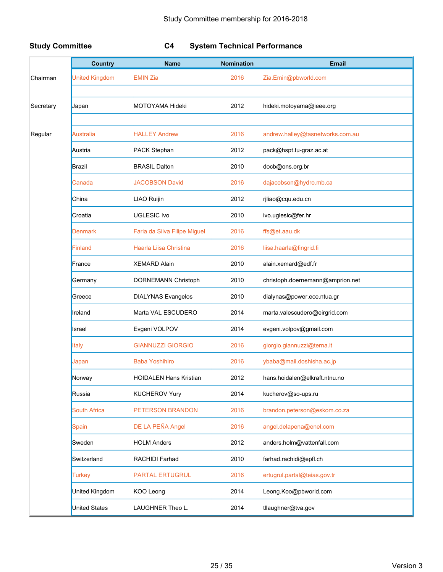### **Study Committee C4 System Technical Performance**

|           | <b>Country</b>        | <b>Name</b>                   | <b>Nomination</b> | <b>Email</b>                     |
|-----------|-----------------------|-------------------------------|-------------------|----------------------------------|
| Chairman  | <b>United Kingdom</b> | <b>EMIN Zia</b>               | 2016              | Zia.Emin@pbworld.com             |
| Secretary | Japan                 | <b>MOTOYAMA Hideki</b>        | 2012              | hideki.motoyama@ieee.org         |
|           |                       |                               |                   |                                  |
| Regular   | Australia             | <b>HALLEY Andrew</b>          | 2016              | andrew.halley@tasnetworks.com.au |
|           | Austria               | PACK Stephan                  | 2012              | pack@hspt.tu-graz.ac.at          |
|           | Brazil                | <b>BRASIL Dalton</b>          | 2010              | docb@ons.org.br                  |
|           | Canada                | <b>JACOBSON David</b>         | 2016              | dajacobson@hydro.mb.ca           |
|           | China                 | LIAO Ruijin                   | 2012              | rjliao@cqu.edu.cn                |
|           | Croatia               | <b>UGLESIC Ivo</b>            | 2010              | ivo.uglesic@fer.hr               |
|           | Denmark               | Faria da Silva Filipe Miguel  | 2016              | ffs@et.aau.dk                    |
|           | Finland               | Haarla Liisa Christina        | 2016              | liisa.haarla@fingrid.fi          |
|           | France                | <b>XEMARD Alain</b>           | 2010              | alain.xemard@edf.fr              |
|           | Germany               | DORNEMANN Christoph           | 2010              | christoph.doernemann@amprion.net |
|           | Greece                | <b>DIALYNAS Evangelos</b>     | 2010              | dialynas@power.ece.ntua.gr       |
|           | Ireland               | Marta VAL ESCUDERO            | 2014              | marta.valescudero@eirgrid.com    |
|           | Israel                | Evgeni VOLPOV                 | 2014              | evgeni.volpov@gmail.com          |
|           | Italy                 | <b>GIANNUZZI GIORGIO</b>      | 2016              | giorgio.giannuzzi@terna.it       |
|           | Japan                 | <b>Baba Yoshihiro</b>         | 2016              | ybaba@mail.doshisha.ac.jp        |
|           | Norway                | <b>HOIDALEN Hans Kristian</b> | 2012              | hans.hoidalen@elkraft.ntnu.no    |
|           | Russia                | <b>KUCHEROV Yury</b>          | 2014              | kucherov@so-ups.ru               |
|           | <b>South Africa</b>   | PETERSON BRANDON              | 2016              | brandon.peterson@eskom.co.za     |
|           | Spain                 | DE LA PEÑA Angel              | 2016              | angel.delapena@enel.com          |
|           | Sweden                | <b>HOLM Anders</b>            | 2012              | anders.holm@vattenfall.com       |
|           | Switzerland           | RACHIDI Farhad                | 2010              | farhad.rachidi@epfl.ch           |
|           | <b>Turkey</b>         | <b>PARTAL ERTUGRUL</b>        | 2016              | ertugrul.partal@teias.gov.tr     |
|           | United Kingdom        | KOO Leong                     | 2014              | Leong.Koo@pbworld.com            |
|           | <b>United States</b>  | LAUGHNER Theo L.              | 2014              | tllaughner@tva.gov               |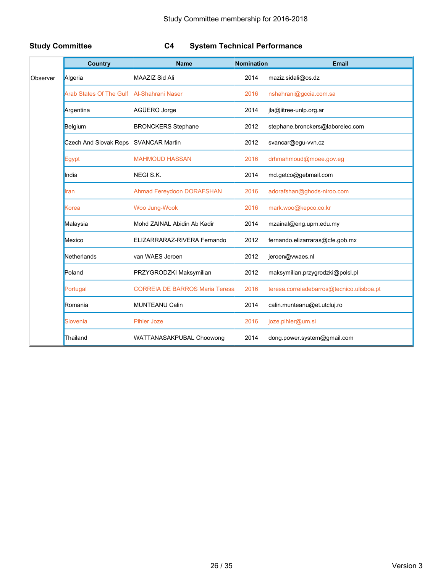### **Study Committee C4 System Technical Performance**

| <b>Country</b> |                                           | <b>Name</b>                           | <b>Nomination</b> | Email                                     |
|----------------|-------------------------------------------|---------------------------------------|-------------------|-------------------------------------------|
| Observer       | Algeria                                   | MAAZIZ Sid Ali                        | 2014              | maziz.sidali@os.dz                        |
|                | Arab States Of The Gulf Al-Shahrani Naser |                                       | 2016              | nshahrani@gccia.com.sa                    |
|                | Argentina                                 | AGÜERO Jorge                          | 2014              | jla@iitree-unlp.org.ar                    |
|                | Belgium                                   | <b>BRONCKERS Stephane</b>             | 2012              | stephane.bronckers@laborelec.com          |
|                | Czech And Slovak Reps SVANCAR Martin      |                                       | 2012              | svancar@egu-vvn.cz                        |
|                | Egypt                                     | <b>MAHMOUD HASSAN</b>                 | 2016              | drhmahmoud@moee.gov.eg                    |
|                | India                                     | NEGI S.K.                             | 2014              | md.getco@gebmail.com                      |
|                | Iran                                      | <b>Ahmad Fereydoon DORAFSHAN</b>      | 2016              | adorafshan@ghods-niroo.com                |
|                | Korea                                     | Woo Jung-Wook                         | 2016              | mark.woo@kepco.co.kr                      |
|                | Malaysia                                  | Mohd ZAINAL Abidin Ab Kadir           | 2014              | mzainal@eng.upm.edu.my                    |
|                | Mexico                                    | ELIZARRARAZ-RIVERA Fernando           | 2012              | fernando.elizarraras@cfe.gob.mx           |
|                | Netherlands                               | van WAES Jeroen                       | 2012              | jeroen@vwaes.nl                           |
|                | Poland                                    | PRZYGRODZKI Maksymilian               | 2012              | maksymilian.przygrodzki@polsl.pl          |
|                | Portugal                                  | <b>CORREIA DE BARROS Maria Teresa</b> | 2016              | teresa.correiadebarros@tecnico.ulisboa.pt |
|                | Romania                                   | <b>MUNTEANU Calin</b>                 | 2014              | calin.munteanu@et.utcluj.ro               |
|                | Slovenia                                  | <b>Pihler Joze</b>                    | 2016              | joze.pihler@um.si                         |
|                | Thailand                                  | WATTANASAKPUBAL Choowong              | 2014              | dong.power.system@gmail.com               |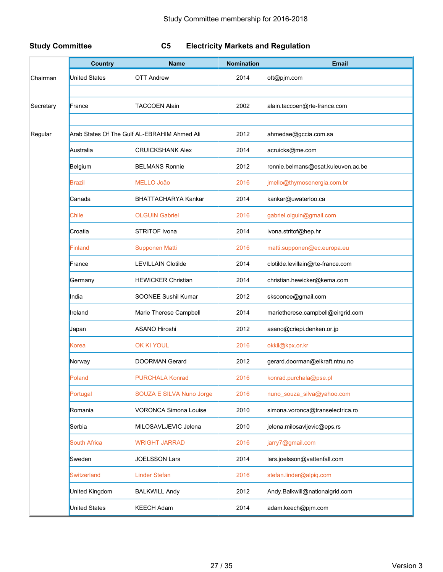### **Study Committee C5 Electricity Markets and Regulation**

|           | <b>Country</b>       | <b>Name</b>                                  | <b>Nomination</b> | <b>Email</b>                       |
|-----------|----------------------|----------------------------------------------|-------------------|------------------------------------|
| Chairman  | <b>United States</b> | <b>OTT Andrew</b>                            | 2014              | ott@pjm.com                        |
|           |                      |                                              |                   |                                    |
| Secretary | France               | <b>TACCOEN Alain</b>                         | 2002              | alain.taccoen@rte-france.com       |
|           |                      |                                              |                   |                                    |
| Regular   |                      | Arab States Of The Gulf AL-EBRAHIM Ahmed Ali | 2012              | ahmedae@gccia.com.sa               |
|           | Australia            | <b>CRUICKSHANK Alex</b>                      | 2014              | acruicks@me.com                    |
|           | Belgium              | <b>BELMANS Ronnie</b>                        | 2012              | ronnie.belmans@esat.kuleuven.ac.be |
|           | Brazil               | <b>MELLO João</b>                            | 2016              | jmello@thymosenergia.com.br        |
|           | Canada               | BHATTACHARYA Kankar                          | 2014              | kankar@uwaterloo.ca                |
|           | <b>Chile</b>         | <b>OLGUIN Gabriel</b>                        | 2016              | gabriel.olguin@gmail.com           |
|           | Croatia              | STRITOF Ivona                                | 2014              | ivona.stritof@hep.hr               |
|           | Finland              | <b>Supponen Matti</b>                        | 2016              | matti.supponen@ec.europa.eu        |
|           | France               | <b>LEVILLAIN Clotilde</b>                    | 2014              | clotilde.levillain@rte-france.com  |
|           | Germany              | <b>HEWICKER Christian</b>                    | 2014              | christian.hewicker@kema.com        |
|           | India                | SOONEE Sushil Kumar                          | 2012              | sksoonee@gmail.com                 |
|           | Ireland              | Marie Therese Campbell                       | 2014              | marietherese.campbell@eirgrid.com  |
|           | Japan                | <b>ASANO Hiroshi</b>                         | 2012              | asano@criepi.denken.or.jp          |
|           | Korea                | <b>OK KI YOUL</b>                            | 2016              | okkil@kpx.or.kr                    |
|           | Norway               | <b>DOORMAN Gerard</b>                        | 2012              | gerard.doorman@elkraft.ntnu.no     |
|           | Poland               | <b>PURCHALA Konrad</b>                       | 2016              | konrad.purchala@pse.pl             |
|           | Portugal             | SOUZA E SILVA Nuno Jorge                     | 2016              | nuno_souza_silva@yahoo.com         |
|           | Romania              | <b>VORONCA Simona Louise</b>                 | 2010              | simona.voronca@transelectrica.ro   |
|           | Serbia               | MILOSAVLJEVIC Jelena                         | 2010              | jelena.milosavljevic@eps.rs        |
|           | <b>South Africa</b>  | <b>WRIGHT JARRAD</b>                         | 2016              | jarry7@gmail.com                   |
|           | Sweden               | <b>JOELSSON Lars</b>                         | 2014              | lars.joelsson@vattenfall.com       |
|           | Switzerland          | <b>Linder Stefan</b>                         | 2016              | stefan.linder@alpiq.com            |
|           | United Kingdom       | <b>BALKWILL Andy</b>                         | 2012              | Andy.Balkwill@nationalgrid.com     |
|           | <b>United States</b> | <b>KEECH Adam</b>                            | 2014              | adam.keech@pjm.com                 |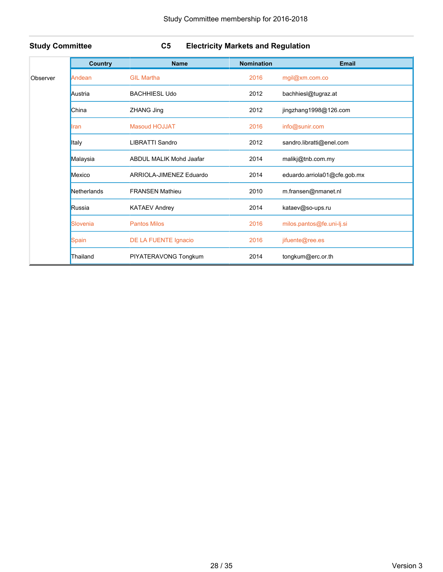### **Study Committee C5 Electricity Markets and Regulation**

|          | <b>Country</b> | <b>Name</b>                    | <b>Nomination</b> | Email                        |
|----------|----------------|--------------------------------|-------------------|------------------------------|
| Observer | Andean         | <b>GIL Martha</b>              | 2016              | mgil@xm.com.co               |
|          | Austria        | <b>BACHHIESL Udo</b>           | 2012              | bachhiesl@tugraz.at          |
|          | China          | <b>ZHANG Jing</b>              | 2012              | jingzhang1998@126.com        |
|          | <b>Iran</b>    | <b>Masoud HOJJAT</b>           | 2016              | info@sunir.com               |
|          | Italy          | <b>LIBRATTI Sandro</b>         | 2012              | sandro.libratti@enel.com     |
|          | Malaysia       | <b>ABDUL MALIK Mohd Jaafar</b> | 2014              | malikj@tnb.com.my            |
|          | Mexico         | ARRIOLA-JIMENEZ Eduardo        | 2014              | eduardo.arriola01@cfe.gob.mx |
|          | Netherlands    | <b>FRANSEN Mathieu</b>         | 2010              | m.fransen@nmanet.nl          |
|          | Russia         | <b>KATAEV Andrey</b>           | 2014              | kataev@so-ups.ru             |
|          | Slovenia       | <b>Pantos Milos</b>            | 2016              | milos.pantos@fe.uni-lj.si    |
|          | <b>Spain</b>   | DE LA FUENTE Ignacio           | 2016              | jifuente@ree.es              |
|          | Thailand       | PIYATERAVONG Tongkum           | 2014              | tongkum@erc.or.th            |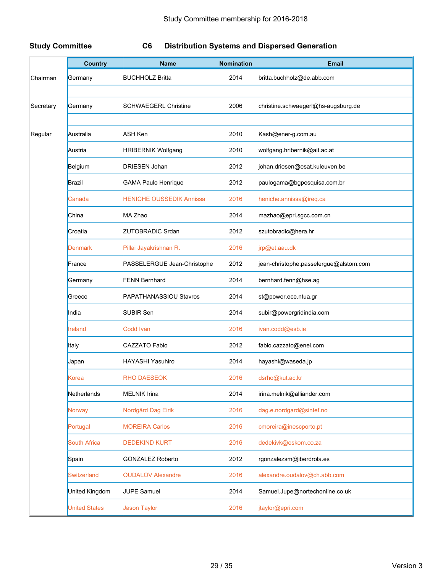### **Study Committee C6 Distribution Systems and Dispersed Generation**

|           | <b>Country</b>       | <b>Name</b>                     | <b>Nomination</b> | <b>Email</b>                           |
|-----------|----------------------|---------------------------------|-------------------|----------------------------------------|
| Chairman  | Germany              | <b>BUCHHOLZ Britta</b>          | 2014              | britta.buchholz@de.abb.com             |
|           |                      |                                 |                   |                                        |
| Secretary | Germany              | <b>SCHWAEGERL Christine</b>     | 2006              | christine.schwaegerl@hs-augsburg.de    |
|           |                      |                                 |                   |                                        |
| Regular   | Australia            | ASH Ken                         | 2010              | Kash@ener-g.com.au                     |
|           | Austria              | <b>HRIBERNIK Wolfgang</b>       | 2010              | wolfgang.hribernik@ait.ac.at           |
|           | Belgium              | <b>DRIESEN Johan</b>            | 2012              | johan.driesen@esat.kuleuven.be         |
|           | Brazil               | <b>GAMA Paulo Henrique</b>      | 2012              | paulogama@bgpesquisa.com.br            |
|           | Canada               | <b>HENICHE OUSSEDIK Annissa</b> | 2016              | heniche.annissa@ireq.ca                |
|           | China                | MA Zhao                         | 2014              | mazhao@epri.sgcc.com.cn                |
|           | Croatia              | <b>ZUTOBRADIC Srdan</b>         | 2012              | szutobradic@hera.hr                    |
|           | Denmark              | Pillai Jayakrishnan R.          | 2016              | jrp@et.aau.dk                          |
|           | France               | PASSELERGUE Jean-Christophe     | 2012              | jean-christophe.passelergue@alstom.com |
|           | Germany              | <b>FENN Bernhard</b>            | 2014              | bernhard.fenn@hse.ag                   |
|           | Greece               | PAPATHANASSIOU Stavros          | 2014              | st@power.ece.ntua.gr                   |
|           | India                | SUBIR Sen                       | 2014              | subir@powergridindia.com               |
|           | Ireland              | Codd Ivan                       | 2016              | ivan.codd@esb.ie                       |
|           | Italy                | CAZZATO Fabio                   | 2012              | fabio.cazzato@enel.com                 |
|           | Japan                | HAYASHI Yasuhiro                | 2014              | hayashi@waseda.jp                      |
|           | Korea                | <b>RHO DAESEOK</b>              | 2016              | dsrho@kut.ac.kr                        |
|           | Netherlands          | <b>MELNIK Irina</b>             | 2014              | irina.melnik@alliander.com             |
|           | <b>Norway</b>        | Nordgård Dag Eirik              | 2016              | dag.e.nordgard@sintef.no               |
|           | Portugal             | <b>MOREIRA Carlos</b>           | 2016              | cmoreira@inescporto.pt                 |
|           | <b>South Africa</b>  | <b>DEDEKIND KURT</b>            | 2016              | dedekivk@eskom.co.za                   |
|           | Spain                | <b>GONZALEZ Roberto</b>         | 2012              | rgonzalezsm@iberdrola.es               |
|           | <b>Switzerland</b>   | <b>OUDALOV Alexandre</b>        | 2016              | alexandre.oudalov@ch.abb.com           |
|           | United Kingdom       | <b>JUPE Samuel</b>              | 2014              | Samuel.Jupe@nortechonline.co.uk        |
|           | <b>United States</b> | <b>Jason Taylor</b>             | 2016              | jtaylor@epri.com                       |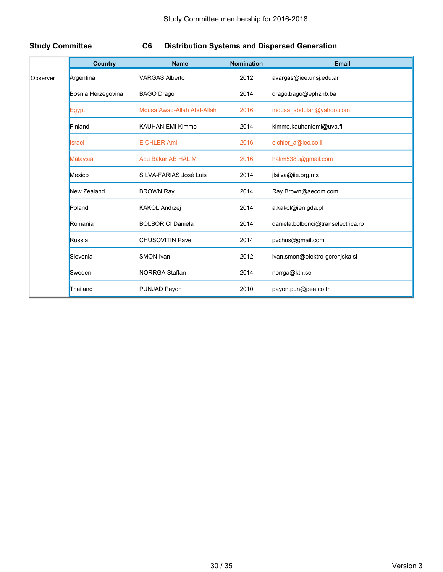### **Study Committee C6 Distribution Systems and Dispersed Generation**

|          | <b>Country</b>     | <b>Name</b>                | <b>Nomination</b> | <b>Email</b>                        |
|----------|--------------------|----------------------------|-------------------|-------------------------------------|
| Observer | Argentina          | <b>VARGAS Alberto</b>      | 2012              | avargas@iee.unsj.edu.ar             |
|          | Bosnia Herzegovina | <b>BAGO Drago</b>          | 2014              | drago.bago@ephzhb.ba                |
|          | Egypt              | Mousa Awad-Allah Abd-Allah | 2016              | mousa abdulah@yahoo.com             |
|          | Finland            | <b>KAUHANIEMI Kimmo</b>    | 2014              | kimmo.kauhaniemi@uva.fi             |
|          | Israel             | <b>EICHLER Ami</b>         | 2016              | eichler_a@iec.co.il                 |
|          | <b>Malaysia</b>    | <b>Abu Bakar AB HALIM</b>  | 2016              | halim5389@gmail.com                 |
|          | Mexico             | SILVA-FARIAS José Luis     | 2014              | jlsilva@iie.org.mx                  |
|          | New Zealand        | <b>BROWN Ray</b>           | 2014              | Ray.Brown@aecom.com                 |
|          | Poland             | <b>KAKOL Andrzej</b>       | 2014              | a.kakol@ien.gda.pl                  |
|          | Romania            | <b>BOLBORICI Daniela</b>   | 2014              | daniela.bolborici@transelectrica.ro |
|          | Russia             | <b>CHUSOVITIN Pavel</b>    | 2014              | pvchus@gmail.com                    |
|          | Slovenia           | SMON Ivan                  | 2012              | ivan.smon@elektro-gorenjska.si      |
|          | Sweden             | <b>NORRGA Staffan</b>      | 2014              | norrga@kth.se                       |
|          | Thailand           | PUNJAD Payon               | 2010              | payon.pun@pea.co.th                 |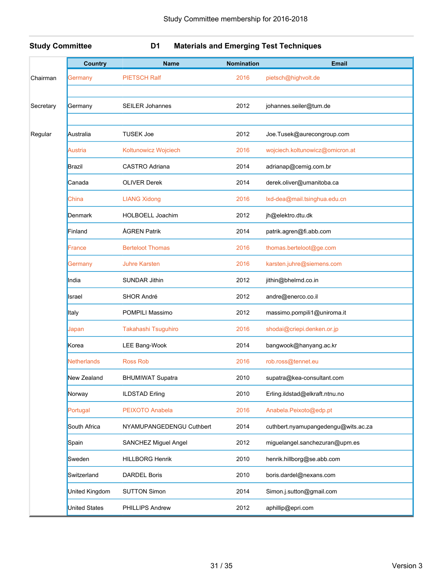### **Study Committee D1 Materials and Emerging Test Techniques**

|           | <b>Country</b>       | <b>Name</b>              | <b>Nomination</b> | <b>Email</b>                        |
|-----------|----------------------|--------------------------|-------------------|-------------------------------------|
| Chairman  | Germany              | <b>PIETSCH Ralf</b>      | 2016              | pietsch@highvolt.de                 |
| Secretary | Germany              | <b>SEILER Johannes</b>   | 2012              | johannes.seiler@tum.de              |
|           |                      |                          |                   |                                     |
| Regular   | Australia            | <b>TUSEK Joe</b>         | 2012              | Joe.Tusek@aurecongroup.com          |
|           | <b>Austria</b>       | Koltunowicz Wojciech     | 2016              | wojciech.koltunowicz@omicron.at     |
|           | Brazil               | CASTRO Adriana           | 2014              | adrianap@cemig.com.br               |
|           | Canada               | <b>OLIVER Derek</b>      | 2014              | derek.oliver@umanitoba.ca           |
|           | China                | <b>LIANG Xidong</b>      | 2016              | lxd-dea@mail.tsinghua.edu.cn        |
|           | Denmark              | HOLBOELL Joachim         | 2012              | jh@elektro.dtu.dk                   |
|           | Finland              | ÅGREN Patrik             | 2014              | patrik.agren@fi.abb.com             |
|           | France               | <b>Berteloot Thomas</b>  | 2016              | thomas.berteloot@ge.com             |
|           | Germany              | <b>Juhre Karsten</b>     | 2016              | karsten.juhre@siemens.com           |
|           | India                | <b>SUNDAR Jithin</b>     | 2012              | jithin@bhelrnd.co.in                |
|           | Israel               | <b>SHOR André</b>        | 2012              | andre@enerco.co.il                  |
|           | Italy                | POMPILI Massimo          | 2012              | massimo.pompili1@uniroma.it         |
|           | Japan                | Takahashi Tsuguhiro      | 2016              | shodai@criepi.denken.or.jp          |
|           | Korea                | LEE Bang-Wook            | 2014              | bangwook@hanyang.ac.kr              |
|           | <b>Netherlands</b>   | <b>Ross Rob</b>          | 2016              | rob.ross@tennet.eu                  |
|           | New Zealand          | <b>BHUMIWAT Supatra</b>  | 2010              | supatra@kea-consultant.com          |
|           | Norway               | <b>ILDSTAD Erling</b>    | 2010              | Erling.ildstad@elkraft.ntnu.no      |
|           | Portugal             | <b>PEIXOTO Anabela</b>   | 2016              | Anabela.Peixoto@edp.pt              |
|           | South Africa         | NYAMUPANGEDENGU Cuthbert | 2014              | cuthbert.nyamupangedengu@wits.ac.za |
|           | Spain                | SANCHEZ Miguel Angel     | 2012              | miguelangel.sanchezuran@upm.es      |
|           | Sweden               | <b>HILLBORG Henrik</b>   | 2010              | henrik.hillborg@se.abb.com          |
|           | Switzerland          | <b>DARDEL Boris</b>      | 2010              | boris.dardel@nexans.com             |
|           | United Kingdom       | <b>SUTTON Simon</b>      | 2014              | Simon.j.sutton@gmail.com            |
|           | <b>United States</b> | PHILLIPS Andrew          | 2012              | aphillip@epri.com                   |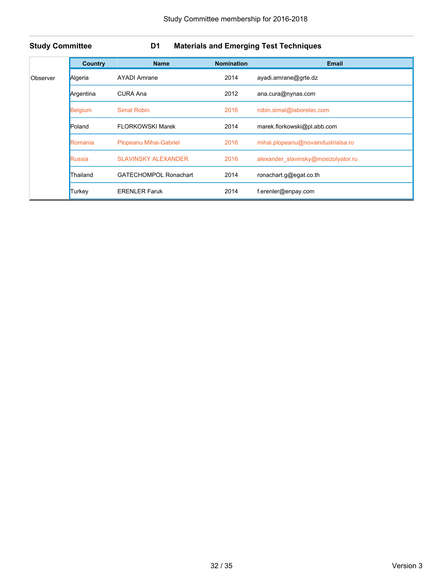### **Study Committee D1 Materials and Emerging Test Techniques**

|          | Country   | <b>Name</b>                  | <b>Nomination</b> | <b>Email</b>                        |
|----------|-----------|------------------------------|-------------------|-------------------------------------|
| Observer | Algeria   | <b>AYADI Amrane</b>          | 2014              | ayadi.amrane@grte.dz                |
|          | Argentina | CURA Ana                     | 2012              | ana.cura@nynas.com                  |
|          | Belgium   | <b>Simal Robin</b>           | 2016              | robin.simal@laborelec.com           |
|          | Poland    | <b>FLORKOWSKI Marek</b>      | 2014              | marek.florkowski@pl.abb.com         |
|          | Romania   | Plopeanu Mihai-Gabriel       | 2016              | mihai.plopeanu@novaindustrialsa.ro  |
|          | Russia    | <b>SLAVINSKY ALEXANDER</b>   | 2016              | alexander slavinsky@mosizolyator.ru |
|          | Thailand  | <b>GATECHOMPOL Ronachart</b> | 2014              | ronachart.g@egat.co.th              |
|          | Turkey    | <b>ERENLER Faruk</b>         | 2014              | f.erenler@enpay.com                 |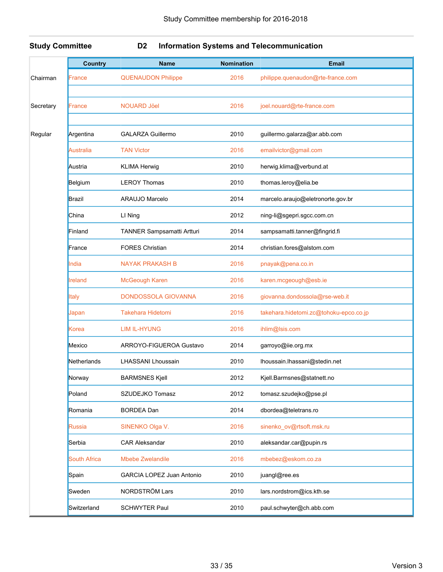### **Study Committee D2 Information Systems and Telecommunication**

|           | <b>Country</b>      | <b>Name</b>                | <b>Nomination</b> | <b>Email</b>                           |
|-----------|---------------------|----------------------------|-------------------|----------------------------------------|
| Chairman  | France              | <b>QUENAUDON Philippe</b>  | 2016              | philippe.quenaudon@rte-france.com      |
|           |                     |                            |                   |                                        |
| Secretary | France              | <b>NOUARD Jöel</b>         | 2016              | joel.nouard@rte-france.com             |
|           |                     |                            |                   |                                        |
| Regular   | Argentina           | <b>GALARZA Guillermo</b>   | 2010              | guillermo.galarza@ar.abb.com           |
|           | <b>Australia</b>    | <b>TAN Victor</b>          | 2016              | emailvictor@gmail.com                  |
|           | Austria             | <b>KLIMA Herwig</b>        | 2010              | herwig.klima@verbund.at                |
|           | Belgium             | <b>LEROY Thomas</b>        | 2010              | thomas.leroy@elia.be                   |
|           | <b>Brazil</b>       | ARAUJO Marcelo             | 2014              | marcelo.araujo@eletronorte.gov.br      |
|           | China               | LI Ning                    | 2012              | ning-li@sgepri.sgcc.com.cn             |
|           | Finland             | TANNER Sampsamatti Artturi | 2014              | sampsamatti.tanner@fingrid.fi          |
|           | France              | <b>FORES Christian</b>     | 2014              | christian.fores@alstom.com             |
|           | India               | <b>NAYAK PRAKASH B</b>     | 2016              | pnayak@pena.co.in                      |
|           | <b>Ireland</b>      | <b>McGeough Karen</b>      | 2016              | karen.mcgeough@esb.ie                  |
|           | <b>Italy</b>        | <b>DONDOSSOLA GIOVANNA</b> | 2016              | giovanna.dondossola@rse-web.it         |
|           | Japan               | <b>Takehara Hidetomi</b>   | 2016              | takehara.hidetomi.zc@tohoku-epco.co.jp |
|           | Korea               | <b>LIM IL-HYUNG</b>        | 2016              | ihlim@lsis.com                         |
|           | Mexico              | ARROYO-FIGUEROA Gustavo    | 2014              | garroyo@iie.org.mx                     |
|           | Netherlands         | <b>LHASSANI Lhoussain</b>  | 2010              | Ihoussain.lhassani@stedin.net          |
|           | Norway              | <b>BARMSNES Kjell</b>      | 2012              | Kjell.Barmsnes@statnett.no             |
|           | Poland              | SZUDEJKO Tomasz            | 2012              | tomasz.szudejko@pse.pl                 |
|           | Romania             | <b>BORDEA Dan</b>          | 2014              | dbordea@teletrans.ro                   |
|           | Russia              | SINENKO Olga V.            | 2016              | sinenko_ov@rtsoft.msk.ru               |
|           | Serbia              | <b>CAR Aleksandar</b>      | 2010              | aleksandar.car@pupin.rs                |
|           | <b>South Africa</b> | <b>Mbebe Zwelandile</b>    | 2016              | mbebez@eskom.co.za                     |
|           | Spain               | GARCIA LOPEZ Juan Antonio  | 2010              | juangl@ree.es                          |
|           | Sweden              | NORDSTRÖM Lars             | 2010              | lars.nordstrom@ics.kth.se              |
|           | Switzerland         | <b>SCHWYTER Paul</b>       | 2010              | paul.schwyter@ch.abb.com               |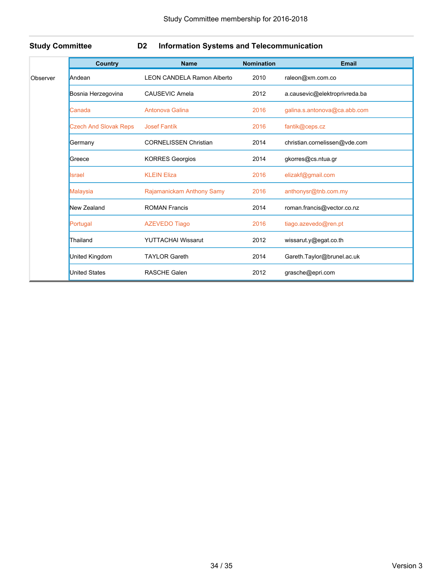## **Study Committee D2 Information Systems and Telecommunication**

| <b>Country</b>               | <b>Name</b>                       | <b>Nomination</b> | <b>Email</b>                  |
|------------------------------|-----------------------------------|-------------------|-------------------------------|
| Andean                       | <b>LEON CANDELA Ramon Alberto</b> | 2010              | raleon@xm.com.co              |
| Bosnia Herzegovina           | CAUSEVIC Amela                    | 2012              | a.causevic@elektroprivreda.ba |
| Canada                       | Antonova Galina                   | 2016              | galina.s.antonova@ca.abb.com  |
| <b>Czech And Slovak Reps</b> | <b>Josef Fantík</b>               | 2016              | fantik@ceps.cz                |
| Germany                      | <b>CORNELISSEN Christian</b>      | 2014              | christian.cornelissen@vde.com |
| Greece                       | <b>KORRES Georgios</b>            | 2014              | gkorres@cs.ntua.gr            |
| Israel                       | <b>KLEIN Eliza</b>                | 2016              | elizakf@gmail.com             |
| Malaysia                     | Rajamanickam Anthony Samy         | 2016              | anthonysr@tnb.com.my          |
| New Zealand                  | <b>ROMAN Francis</b>              | 2014              | roman.francis@vector.co.nz    |
| Portugal                     | <b>AZEVEDO Tiago</b>              | 2016              | tiago.azevedo@ren.pt          |
| Thailand                     | <b>YUTTACHAI Wissarut</b>         | 2012              | wissarut.y@egat.co.th         |
| United Kingdom               | <b>TAYLOR Gareth</b>              | 2014              | Gareth.Taylor@brunel.ac.uk    |
| <b>United States</b>         | <b>RASCHE Galen</b>               | 2012              | grasche@epri.com              |